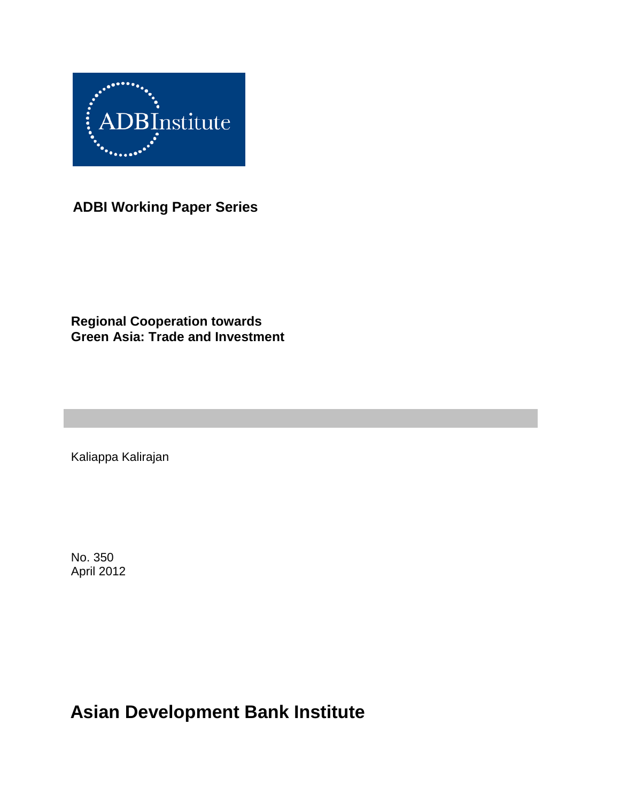

**ADBI Working Paper Series**

## **Regional Cooperation towards Green Asia: Trade and Investment**

Kaliappa Kalirajan

No. 350 April 2012

**Asian Development Bank Institute**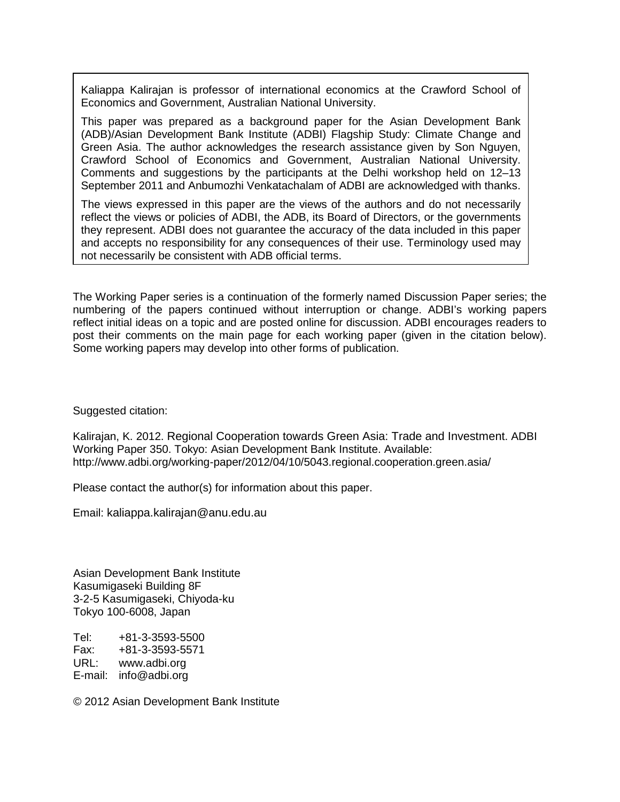Kaliappa Kalirajan is professor of international economics at the Crawford School of Economics and Government, Australian National University.

This paper was prepared as a background paper for the Asian Development Bank (ADB)/Asian Development Bank Institute (ADBI) Flagship Study: Climate Change and Green Asia. The author acknowledges the research assistance given by Son Nguyen, Crawford School of Economics and Government, Australian National University. Comments and suggestions by the participants at the Delhi workshop held on 12–13 September 2011 and Anbumozhi Venkatachalam of ADBI are acknowledged with thanks.

The views expressed in this paper are the views of the authors and do not necessarily reflect the views or policies of ADBI, the ADB, its Board of Directors, or the governments they represent. ADBI does not guarantee the accuracy of the data included in this paper and accepts no responsibility for any consequences of their use. Terminology used may not necessarily be consistent with ADB official terms.

The Working Paper series is a continuation of the formerly named Discussion Paper series; the numbering of the papers continued without interruption or change. ADBI's working papers reflect initial ideas on a topic and are posted online for discussion. ADBI encourages readers to post their comments on the main page for each working paper (given in the citation below). Some working papers may develop into other forms of publication.

Suggested citation:

Kalirajan, K. 2012. Regional Cooperation towards Green Asia: Trade and Investment. ADBI Working Paper 350. Tokyo: Asian Development Bank Institute. Available: http://www.adbi.org/working-paper/2012/04/10/5043.regional.cooperation.green.asia/

Please contact the author(s) for information about this paper.

Email: kaliappa.kalirajan@anu.edu.au

Asian Development Bank Institute Kasumigaseki Building 8F 3-2-5 Kasumigaseki, Chiyoda-ku Tokyo 100-6008, Japan

Tel: +81-3-3593-5500 Fax: +81-3-3593-5571 URL: www.adbi.org E-mail: info@adbi.org

© 2012 Asian Development Bank Institute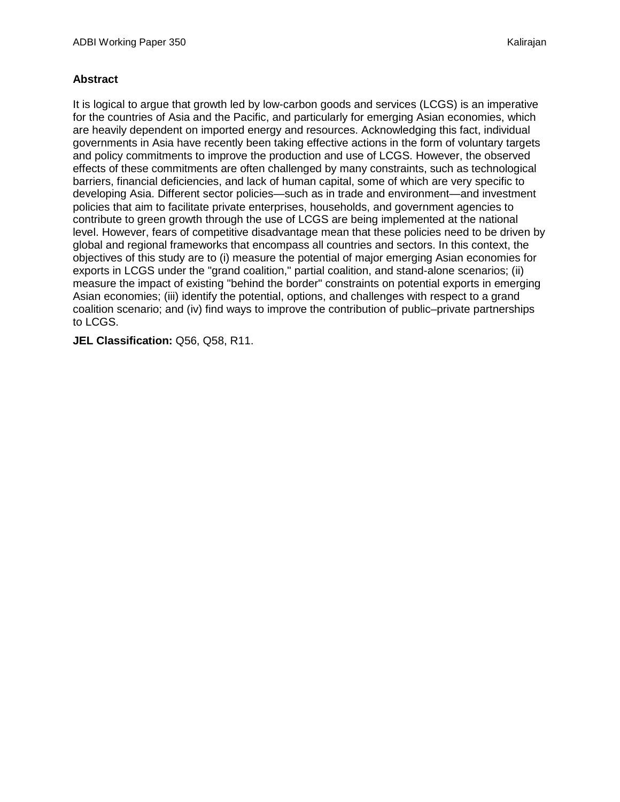#### **Abstract**

It is logical to argue that growth led by low-carbon goods and services (LCGS) is an imperative for the countries of Asia and the Pacific, and particularly for emerging Asian economies, which are heavily dependent on imported energy and resources. Acknowledging this fact, individual governments in Asia have recently been taking effective actions in the form of voluntary targets and policy commitments to improve the production and use of LCGS. However, the observed effects of these commitments are often challenged by many constraints, such as technological barriers, financial deficiencies, and lack of human capital, some of which are very specific to developing Asia. Different sector policies—such as in trade and environment—and investment policies that aim to facilitate private enterprises, households, and government agencies to contribute to green growth through the use of LCGS are being implemented at the national level. However, fears of competitive disadvantage mean that these policies need to be driven by global and regional frameworks that encompass all countries and sectors. In this context, the objectives of this study are to (i) measure the potential of major emerging Asian economies for exports in LCGS under the "grand coalition," partial coalition, and stand-alone scenarios; (ii) measure the impact of existing "behind the border" constraints on potential exports in emerging Asian economies; (iii) identify the potential, options, and challenges with respect to a grand coalition scenario; and (iv) find ways to improve the contribution of public–private partnerships to LCGS.

**JEL Classification:** Q56, Q58, R11.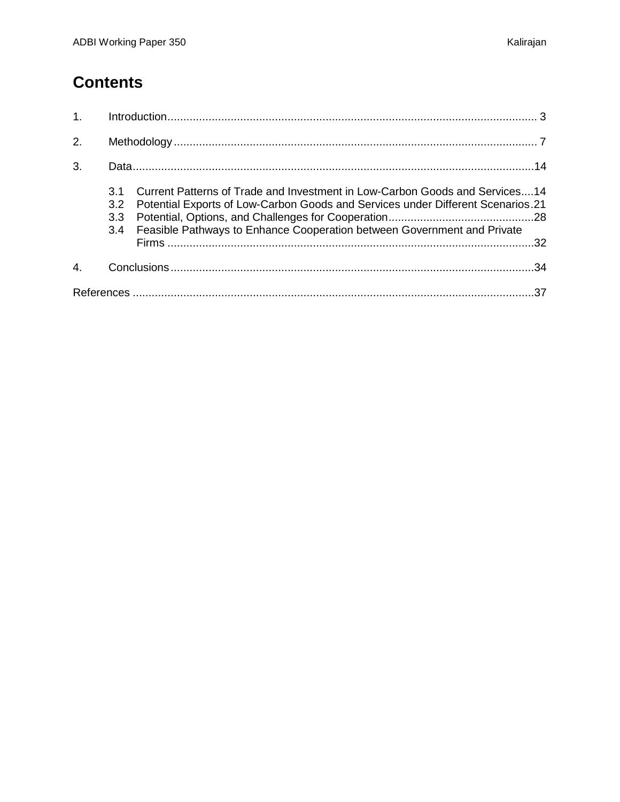# **Contents**

| 1. |                   |                                                                                                                                                                                                                                               |     |
|----|-------------------|-----------------------------------------------------------------------------------------------------------------------------------------------------------------------------------------------------------------------------------------------|-----|
| 2. |                   |                                                                                                                                                                                                                                               |     |
| 3. |                   |                                                                                                                                                                                                                                               |     |
|    | 3.1<br>3.2<br>3.3 | Current Patterns of Trade and Investment in Low-Carbon Goods and Services14<br>Potential Exports of Low-Carbon Goods and Services under Different Scenarios.21<br>3.4 Feasible Pathways to Enhance Cooperation between Government and Private |     |
|    |                   |                                                                                                                                                                                                                                               |     |
|    |                   |                                                                                                                                                                                                                                               | .37 |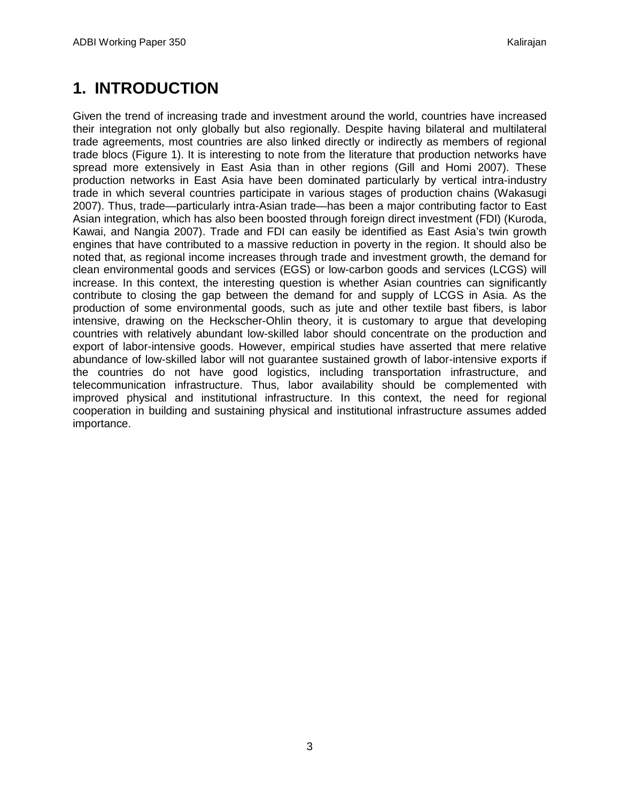## <span id="page-4-0"></span>**1. INTRODUCTION**

Given the trend of increasing trade and investment around the world, countries have increased their integration not only globally but also regionally. Despite having bilateral and multilateral trade agreements, most countries are also linked directly or indirectly as members of regional trade blocs (Figure 1). It is interesting to note from the literature that production networks have spread more extensively in East Asia than in other regions (Gill and Homi 2007). These production networks in East Asia have been dominated particularly by vertical intra-industry trade in which several countries participate in various stages of production chains (Wakasugi 2007). Thus, trade—particularly intra-Asian trade—has been a major contributing factor to East Asian integration, which has also been boosted through foreign direct investment (FDI) (Kuroda, Kawai, and Nangia 2007). Trade and FDI can easily be identified as East Asia's twin growth engines that have contributed to a massive reduction in poverty in the region. It should also be noted that, as regional income increases through trade and investment growth, the demand for clean environmental goods and services (EGS) or low-carbon goods and services (LCGS) will increase. In this context, the interesting question is whether Asian countries can significantly contribute to closing the gap between the demand for and supply of LCGS in Asia. As the production of some environmental goods, such as jute and other textile bast fibers, is labor intensive, drawing on the Heckscher-Ohlin theory, it is customary to argue that developing countries with relatively abundant low-skilled labor should concentrate on the production and export of labor-intensive goods. However, empirical studies have asserted that mere relative abundance of low-skilled labor will not guarantee sustained growth of labor-intensive exports if the countries do not have good logistics, including transportation infrastructure, and telecommunication infrastructure. Thus, labor availability should be complemented with improved physical and institutional infrastructure. In this context, the need for regional cooperation in building and sustaining physical and institutional infrastructure assumes added importance.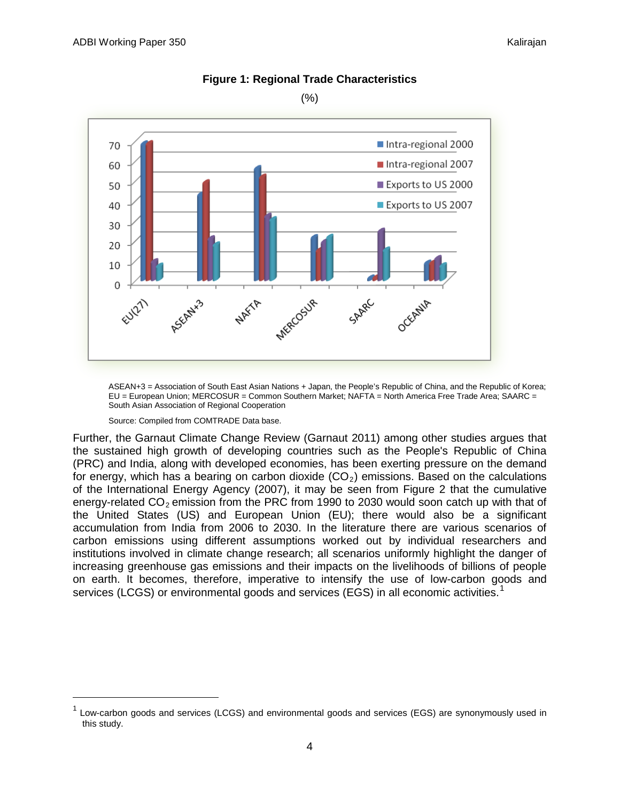

#### **Figure 1: Regional Trade Characteristics**

(%)

ASEAN+3 = Association of South East Asian Nations + Japan, the People's Republic of China, and the Republic of Korea; EU = European Union; MERCOSUR = Common Southern Market; NAFTA = North America Free Trade Area; SAARC = South Asian Association of Regional Cooperation

#### Source: Compiled from COMTRADE Data base.

Further, the Garnaut Climate Change Review (Garnaut 2011) among other studies argues that the sustained high growth of developing countries such as the People's Republic of China (PRC) and India, along with developed economies, has been exerting pressure on the demand for energy, which has a bearing on carbon dioxide  $(CO<sub>2</sub>)$  emissions. Based on the calculations of the International Energy Agency (2007), it may be seen from Figure 2 that the cumulative energy-related  $CO<sub>2</sub>$  emission from the PRC from 1990 to 2030 would soon catch up with that of the United States (US) and European Union (EU); there would also be a significant accumulation from India from 2006 to 2030. In the literature there are various scenarios of carbon emissions using different assumptions worked out by individual researchers and institutions involved in climate change research; all scenarios uniformly highlight the danger of increasing greenhouse gas emissions and their impacts on the livelihoods of billions of people on earth. It becomes, therefore, imperative to intensify the use of low-carbon goods and services (LCGS) or environmental goods and services (EGS) in all economic activities.<sup>[1](#page-5-0)</sup>

<span id="page-5-0"></span> $1$  Low-carbon goods and services (LCGS) and environmental goods and services (EGS) are synonymously used in this study.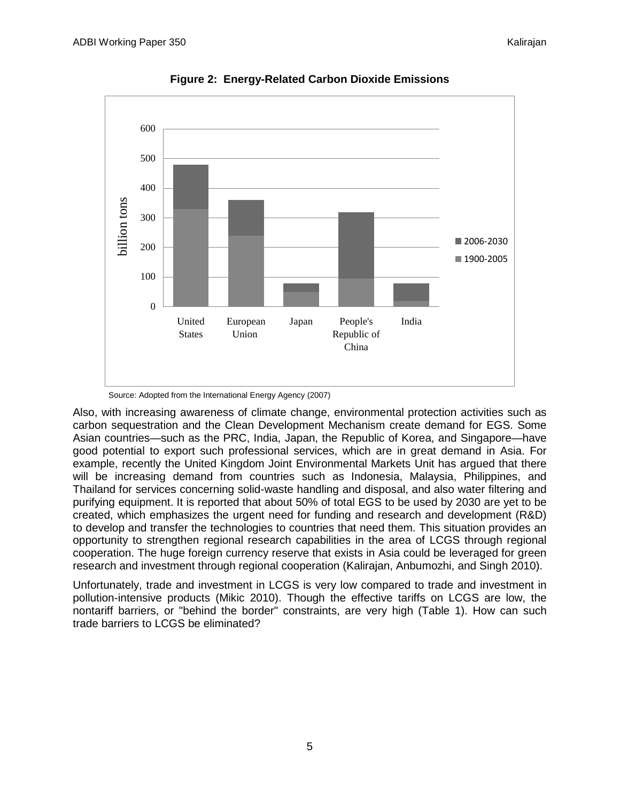

**Figure 2: Energy-Related Carbon Dioxide Emissions**

Also, with increasing awareness of climate change, environmental protection activities such as carbon sequestration and the Clean Development Mechanism create demand for EGS. Some Asian countries—such as the PRC, India, Japan, the Republic of Korea, and Singapore—have good potential to export such professional services, which are in great demand in Asia. For example, recently the United Kingdom Joint Environmental Markets Unit has argued that there will be increasing demand from countries such as Indonesia, Malaysia, Philippines, and Thailand for services concerning solid-waste handling and disposal, and also water filtering and purifying equipment. It is reported that about 50% of total EGS to be used by 2030 are yet to be created, which emphasizes the urgent need for funding and research and development (R&D) to develop and transfer the technologies to countries that need them. This situation provides an opportunity to strengthen regional research capabilities in the area of LCGS through regional cooperation. The huge foreign currency reserve that exists in Asia could be leveraged for green research and investment through regional cooperation (Kalirajan, Anbumozhi, and Singh 2010).

Unfortunately, trade and investment in LCGS is very low compared to trade and investment in pollution-intensive products (Mikic 2010). Though the effective tariffs on LCGS are low, the nontariff barriers, or "behind the border" constraints, are very high (Table 1). How can such trade barriers to LCGS be eliminated?

Source: Adopted from the International Energy Agency (2007)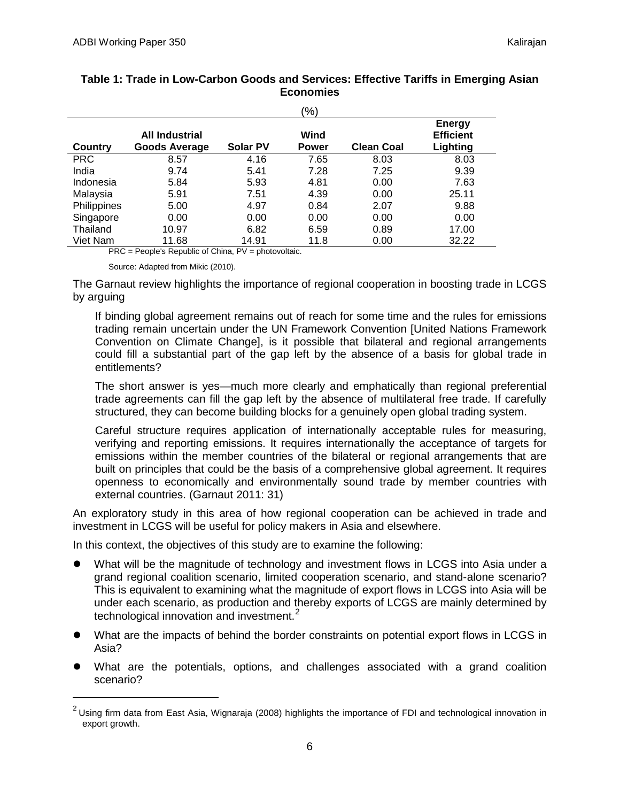|             |                                               |                 | $\frac{1}{2}$        |                   |                                               |
|-------------|-----------------------------------------------|-----------------|----------------------|-------------------|-----------------------------------------------|
| Country     | <b>All Industrial</b><br><b>Goods Average</b> | <b>Solar PV</b> | Wind<br><b>Power</b> | <b>Clean Coal</b> | <b>Energy</b><br><b>Efficient</b><br>Lighting |
| <b>PRC</b>  | 8.57                                          | 4.16            | 7.65                 | 8.03              | 8.03                                          |
| India       | 9.74                                          | 5.41            | 7.28                 | 7.25              | 9.39                                          |
| Indonesia   | 5.84                                          | 5.93            | 4.81                 | 0.00              | 7.63                                          |
| Malaysia    | 5.91                                          | 7.51            | 4.39                 | 0.00              | 25.11                                         |
| Philippines | 5.00                                          | 4.97            | 0.84                 | 2.07              | 9.88                                          |
| Singapore   | 0.00                                          | 0.00            | 0.00                 | 0.00              | 0.00                                          |
| Thailand    | 10.97                                         | 6.82            | 6.59                 | 0.89              | 17.00                                         |
| Viet Nam    | 11.68                                         | 14.91           | 11.8                 | 0.00              | 32.22                                         |

| Table 1: Trade in Low-Carbon Goods and Services: Effective Tariffs in Emerging Asian |
|--------------------------------------------------------------------------------------|
| Economies                                                                            |

PRC = People's Republic of China, PV = photovoltaic.

Source: Adapted from Mikic (2010).

The Garnaut review highlights the importance of regional cooperation in boosting trade in LCGS by arguing

If binding global agreement remains out of reach for some time and the rules for emissions trading remain uncertain under the UN Framework Convention [United Nations Framework Convention on Climate Change], is it possible that bilateral and regional arrangements could fill a substantial part of the gap left by the absence of a basis for global trade in entitlements?

The short answer is yes—much more clearly and emphatically than regional preferential trade agreements can fill the gap left by the absence of multilateral free trade. If carefully structured, they can become building blocks for a genuinely open global trading system.

Careful structure requires application of internationally acceptable rules for measuring, verifying and reporting emissions. It requires internationally the acceptance of targets for emissions within the member countries of the bilateral or regional arrangements that are built on principles that could be the basis of a comprehensive global agreement. It requires openness to economically and environmentally sound trade by member countries with external countries. (Garnaut 2011: 31)

An exploratory study in this area of how regional cooperation can be achieved in trade and investment in LCGS will be useful for policy makers in Asia and elsewhere.

In this context, the objectives of this study are to examine the following:

- What will be the magnitude of technology and investment flows in LCGS into Asia under a grand regional coalition scenario, limited cooperation scenario, and stand-alone scenario? This is equivalent to examining what the magnitude of export flows in LCGS into Asia will be under each scenario, as production and thereby exports of LCGS are mainly determined by technological innovation and investment.<sup>[2](#page-7-0)</sup>
- What are the impacts of behind the border constraints on potential export flows in LCGS in Asia?
- What are the potentials, options, and challenges associated with a grand coalition scenario?

<span id="page-7-0"></span> $2$  Using firm data from East Asia, Wignaraja (2008) highlights the importance of FDI and technological innovation in export growth.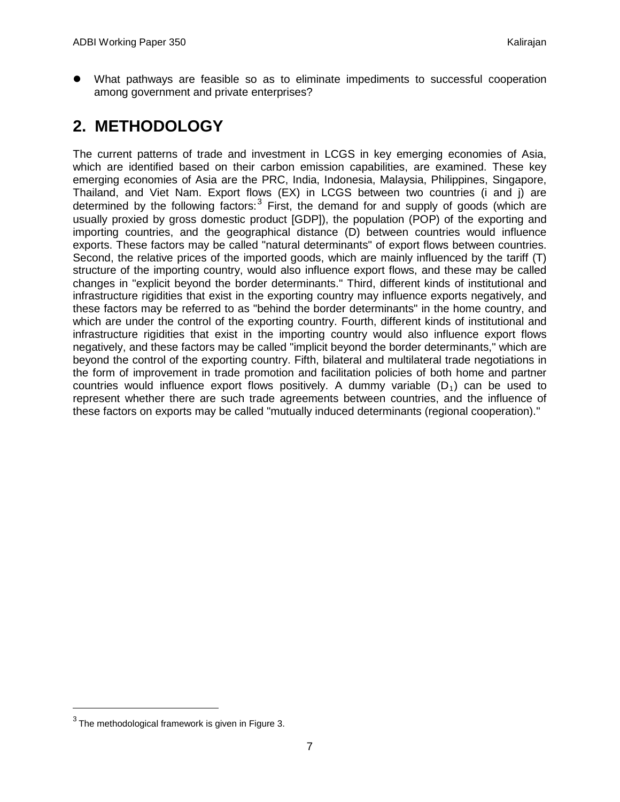What pathways are feasible so as to eliminate impediments to successful cooperation among government and private enterprises?

## <span id="page-8-0"></span>**2. METHODOLOGY**

The current patterns of trade and investment in LCGS in key emerging economies of Asia, which are identified based on their carbon emission capabilities, are examined. These key emerging economies of Asia are the PRC, India, Indonesia, Malaysia, Philippines, Singapore, Thailand, and Viet Nam. Export flows (EX) in LCGS between two countries (i and j) are determined by the following factors:  $3$  First, the demand for and supply of goods (which are usually proxied by gross domestic product [GDP]), the population (POP) of the exporting and importing countries, and the geographical distance (D) between countries would influence exports. These factors may be called "natural determinants" of export flows between countries. Second, the relative prices of the imported goods, which are mainly influenced by the tariff (T) structure of the importing country, would also influence export flows, and these may be called changes in "explicit beyond the border determinants." Third, different kinds of institutional and infrastructure rigidities that exist in the exporting country may influence exports negatively, and these factors may be referred to as "behind the border determinants" in the home country, and which are under the control of the exporting country. Fourth, different kinds of institutional and infrastructure rigidities that exist in the importing country would also influence export flows negatively, and these factors may be called "implicit beyond the border determinants," which are beyond the control of the exporting country. Fifth, bilateral and multilateral trade negotiations in the form of improvement in trade promotion and facilitation policies of both home and partner countries would influence export flows positively. A dummy variable  $(D_1)$  can be used to represent whether there are such trade agreements between countries, and the influence of these factors on exports may be called "mutually induced determinants (regional cooperation)."

<span id="page-8-1"></span> $3$  The methodological framework is given in Figure 3.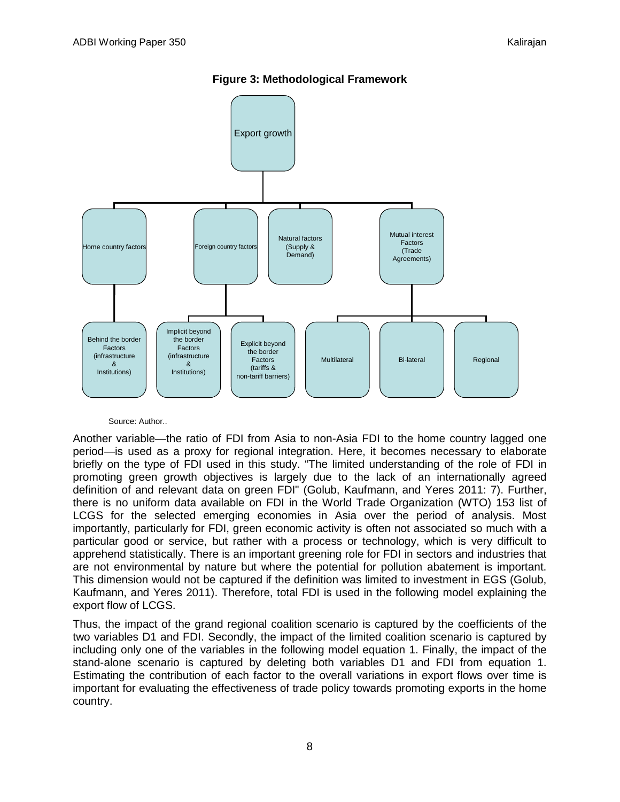

**Figure 3: Methodological Framework**

#### Source: Author..

Another variable—the ratio of FDI from Asia to non-Asia FDI to the home country lagged one period—is used as a proxy for regional integration. Here, it becomes necessary to elaborate briefly on the type of FDI used in this study. "The limited understanding of the role of FDI in promoting green growth objectives is largely due to the lack of an internationally agreed definition of and relevant data on green FDI" (Golub, Kaufmann, and Yeres 2011: 7). Further, there is no uniform data available on FDI in the World Trade Organization (WTO) 153 list of LCGS for the selected emerging economies in Asia over the period of analysis. Most importantly, particularly for FDI, green economic activity is often not associated so much with a particular good or service, but rather with a process or technology, which is very difficult to apprehend statistically. There is an important greening role for FDI in sectors and industries that are not environmental by nature but where the potential for pollution abatement is important. This dimension would not be captured if the definition was limited to investment in EGS (Golub, Kaufmann, and Yeres 2011). Therefore, total FDI is used in the following model explaining the export flow of LCGS.

Thus, the impact of the grand regional coalition scenario is captured by the coefficients of the two variables D1 and FDI. Secondly, the impact of the limited coalition scenario is captured by including only one of the variables in the following model equation 1. Finally, the impact of the stand-alone scenario is captured by deleting both variables D1 and FDI from equation 1. Estimating the contribution of each factor to the overall variations in export flows over time is important for evaluating the effectiveness of trade policy towards promoting exports in the home country.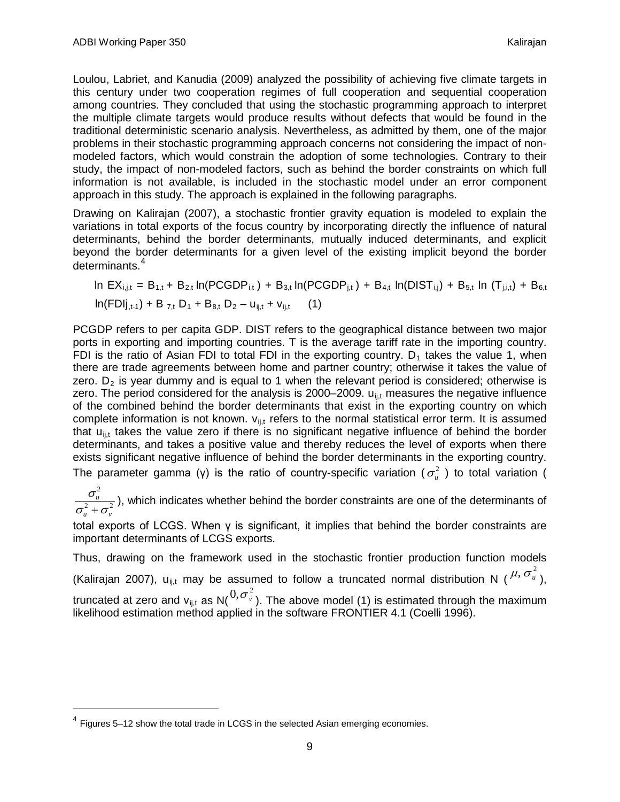Loulou, Labriet, and Kanudia (2009) analyzed the possibility of achieving five climate targets in this century under two cooperation regimes of full cooperation and sequential cooperation among countries. They concluded that using the stochastic programming approach to interpret the multiple climate targets would produce results without defects that would be found in the traditional deterministic scenario analysis. Nevertheless, as admitted by them, one of the major problems in their stochastic programming approach concerns not considering the impact of nonmodeled factors, which would constrain the adoption of some technologies. Contrary to their study, the impact of non-modeled factors, such as behind the border constraints on which full information is not available, is included in the stochastic model under an error component approach in this study. The approach is explained in the following paragraphs.

Drawing on Kalirajan (2007), a stochastic frontier gravity equation is modeled to explain the variations in total exports of the focus country by incorporating directly the influence of natural determinants, behind the border determinants, mutually induced determinants, and explicit beyond the border determinants for a given level of the existing implicit beyond the border determinants. [4](#page-10-0)

In 
$$
EX_{i,j,t} = B_{1,t} + B_{2,t} \ln(PCGDP_{i,t}) + B_{3,t} \ln(PCGDP_{j,t}) + B_{4,t} \ln(DIST_{i,j}) + B_{5,t} \ln(T_{j,i,t}) + B_{6,t}
$$
  
\n $\ln(FDIj_{,t-1}) + B_{7,t} D_1 + B_{8,t} D_2 - u_{ij,t} + v_{ij,t}$  (1)

PCGDP refers to per capita GDP. DIST refers to the geographical distance between two major ports in exporting and importing countries. T is the average tariff rate in the importing country. FDI is the ratio of Asian FDI to total FDI in the exporting country.  $D_1$  takes the value 1, when there are trade agreements between home and partner country; otherwise it takes the value of zero.  $D_2$  is year dummy and is equal to 1 when the relevant period is considered; otherwise is zero. The period considered for the analysis is 2000–2009.  $u_{i,j}$  measures the negative influence of the combined behind the border determinants that exist in the exporting country on which complete information is not known.  $v_{ij}$  refers to the normal statistical error term. It is assumed that  $u_{ij,t}$  takes the value zero if there is no significant negative influence of behind the border The parameter gamma (γ) is the ratio of country-specific variation ( $\sigma^2_u$ ) to total variation ( determinants, and takes a positive value and thereby reduces the level of exports when there exists significant negative influence of behind the border determinants in the exporting country.

2  $^2$ 2  $u \sim v$ *u*  $\sigma$  +  $\sigma$ σ  $\frac{\sqrt{u}}{1+\sigma_v^2}$ ), which indicates whether behind the border constraints are one of the determinants of

total exports of LCGS. When γ is significant, it implies that behind the border constraints are important determinants of LCGS exports.

Thus, drawing on the framework used in the stochastic frontier production function models (Kalirajan 2007), u<sub>ij,t</sub> may be assumed to follow a truncated normal distribution N (  $^{\mu,\,\sigma_u^2}$  ), truncated at zero and v<sub>ij,t</sub> as N( ${}^{0, \sigma^2_v}$ ). The above model (1) is estimated through the maximum likelihood estimation method applied in the software FRONTIER 4.1 (Coelli 1996).

<span id="page-10-0"></span> $4$  Figures 5–12 show the total trade in LCGS in the selected Asian emerging economies.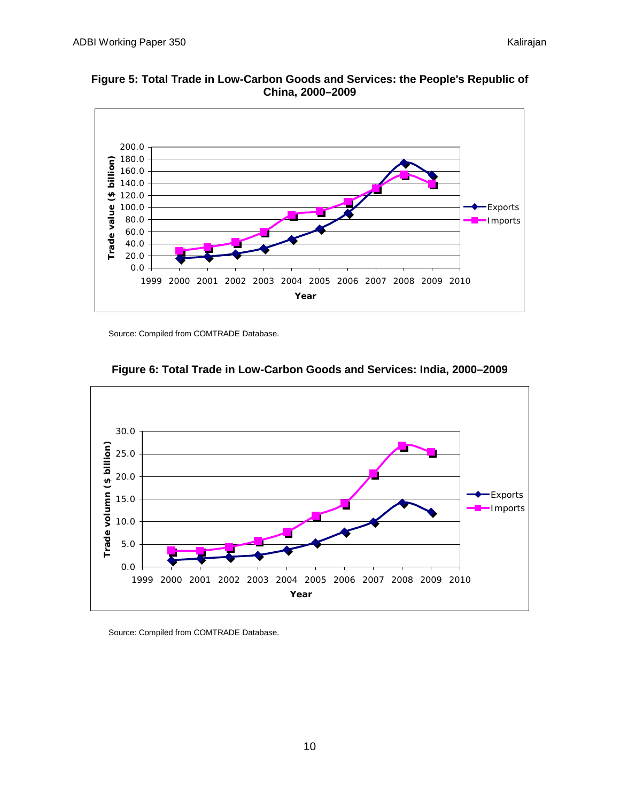

**Figure 5: Total Trade in Low-Carbon Goods and Services: the People's Republic of China, 2000–2009**



#### **Figure 6: Total Trade in Low-Carbon Goods and Services: India, 2000–2009**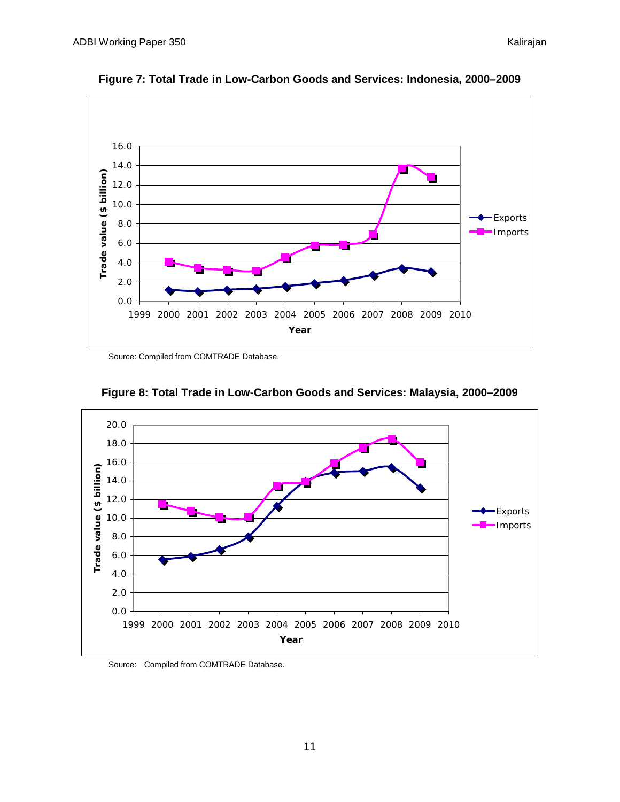

**Figure 7: Total Trade in Low-Carbon Goods and Services: Indonesia, 2000–2009**



**Figure 8: Total Trade in Low-Carbon Goods and Services: Malaysia, 2000–2009**

Source: Compiled from COMTRADE Database.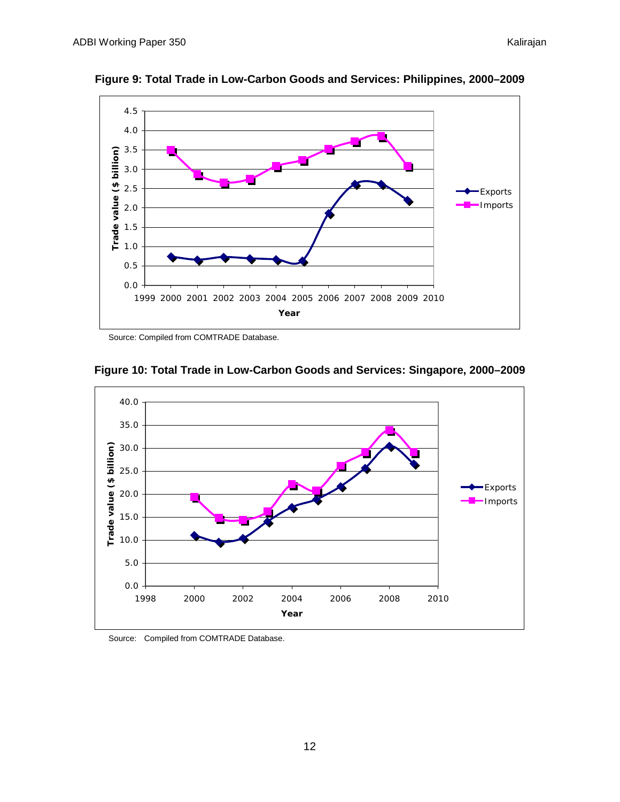

**Figure 9: Total Trade in Low-Carbon Goods and Services: Philippines, 2000–2009**



#### **Figure 10: Total Trade in Low-Carbon Goods and Services: Singapore, 2000–2009**

Source: Compiled from COMTRADE Database.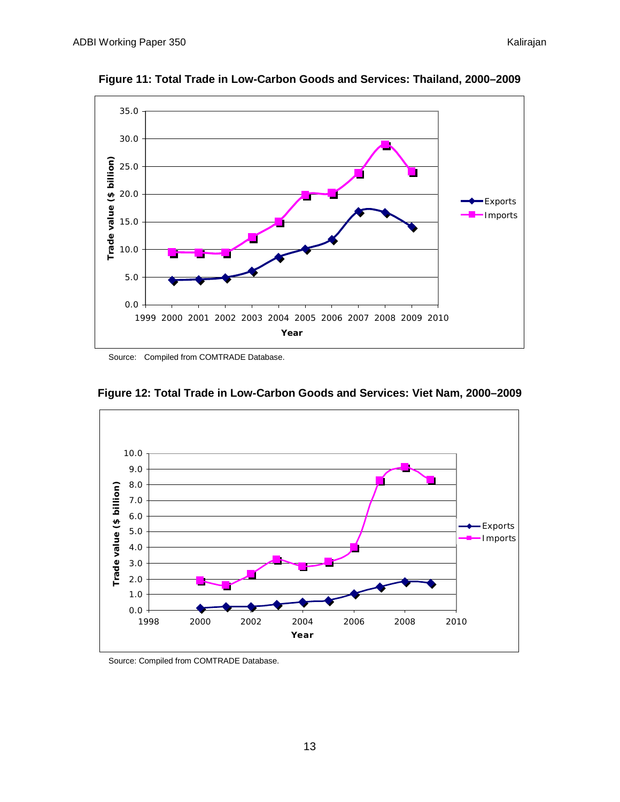

**Figure 11: Total Trade in Low-Carbon Goods and Services: Thailand, 2000–2009**



**Figure 12: Total Trade in Low-Carbon Goods and Services: Viet Nam, 2000–2009**

Source: Compiled from COMTRADE Database.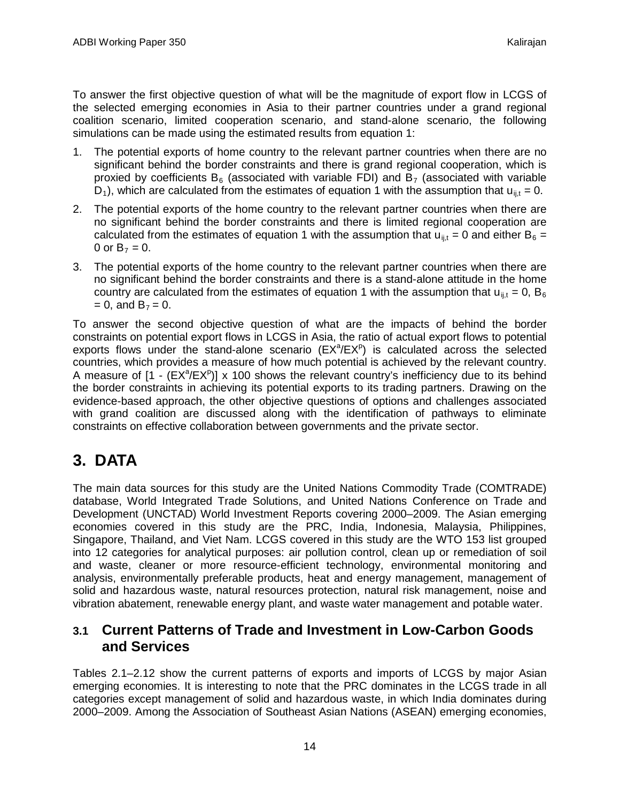To answer the first objective question of what will be the magnitude of export flow in LCGS of the selected emerging economies in Asia to their partner countries under a grand regional coalition scenario, limited cooperation scenario, and stand-alone scenario, the following simulations can be made using the estimated results from equation 1:

- 1. The potential exports of home country to the relevant partner countries when there are no significant behind the border constraints and there is grand regional cooperation, which is proxied by coefficients  $B_6$  (associated with variable FDI) and  $B_7$  (associated with variable D<sub>1</sub>), which are calculated from the estimates of equation 1 with the assumption that  $u_{ij,t} = 0$ .
- 2. The potential exports of the home country to the relevant partner countries when there are no significant behind the border constraints and there is limited regional cooperation are calculated from the estimates of equation 1 with the assumption that  $u_{ij,t} = 0$  and either B<sub>6</sub> = 0 or  $B_7 = 0$ .
- 3. The potential exports of the home country to the relevant partner countries when there are no significant behind the border constraints and there is a stand-alone attitude in the home country are calculated from the estimates of equation 1 with the assumption that  $u_{ij,t}$  = 0,  $B_6$  $= 0$ , and  $B_7 = 0$ .

To answer the second objective question of what are the impacts of behind the border constraints on potential export flows in LCGS in Asia, the ratio of actual export flows to potential exports flows under the stand-alone scenario  $(EX<sup>a</sup>/EX<sup>p</sup>)$  is calculated across the selected countries, which provides a measure of how much potential is achieved by the relevant country. A measure of  $[1 - (EX^a/EX^p)] \times 100$  shows the relevant country's inefficiency due to its behind the border constraints in achieving its potential exports to its trading partners. Drawing on the evidence-based approach, the other objective questions of options and challenges associated with grand coalition are discussed along with the identification of pathways to eliminate constraints on effective collaboration between governments and the private sector.

## <span id="page-15-0"></span>**3. DATA**

The main data sources for this study are the United Nations Commodity Trade (COMTRADE) database, World Integrated Trade Solutions, and United Nations Conference on Trade and Development (UNCTAD) World Investment Reports covering 2000–2009. The Asian emerging economies covered in this study are the PRC, India, Indonesia, Malaysia, Philippines, Singapore, Thailand, and Viet Nam. LCGS covered in this study are the WTO 153 list grouped into 12 categories for analytical purposes: air pollution control, clean up or remediation of soil and waste, cleaner or more resource-efficient technology, environmental monitoring and analysis, environmentally preferable products, heat and energy management, management of solid and hazardous waste, natural resources protection, natural risk management, noise and vibration abatement, renewable energy plant, and waste water management and potable water.

## <span id="page-15-1"></span>**3.1 Current Patterns of Trade and Investment in Low-Carbon Goods and Services**

Tables 2.1–2.12 show the current patterns of exports and imports of LCGS by major Asian emerging economies. It is interesting to note that the PRC dominates in the LCGS trade in all categories except management of solid and hazardous waste, in which India dominates during 2000–2009. Among the Association of Southeast Asian Nations (ASEAN) emerging economies,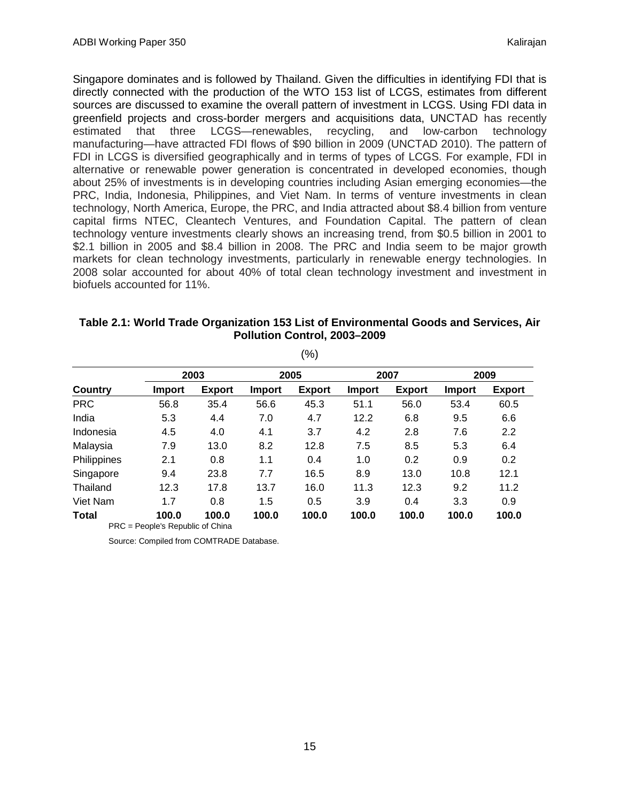Singapore dominates and is followed by Thailand. Given the difficulties in identifying FDI that is directly connected with the production of the WTO 153 list of LCGS, estimates from different sources are discussed to examine the overall pattern of investment in LCGS. Using FDI data in greenfield projects and cross-border mergers and acquisitions data, UNCTAD has recently estimated that three LCGS—renewables, recycling, and low-carbon technology manufacturing—have attracted FDI flows of \$90 billion in 2009 (UNCTAD 2010). The pattern of FDI in LCGS is diversified geographically and in terms of types of LCGS. For example, FDI in alternative or renewable power generation is concentrated in developed economies, though about 25% of investments is in developing countries including Asian emerging economies—the PRC, India, Indonesia, Philippines, and Viet Nam. In terms of venture investments in clean technology, North America, Europe, the PRC, and India attracted about \$8.4 billion from venture capital firms NTEC, Cleantech Ventures, and Foundation Capital. The pattern of clean technology venture investments clearly shows an increasing trend, from \$0.5 billion in 2001 to \$2.1 billion in 2005 and \$8.4 billion in 2008. The PRC and India seem to be major growth markets for clean technology investments, particularly in renewable energy technologies. In 2008 solar accounted for about 40% of total clean technology investment and investment in biofuels accounted for 11%.

|                |                                  |               |        | ( 70 )        |               |               |               |               |
|----------------|----------------------------------|---------------|--------|---------------|---------------|---------------|---------------|---------------|
|                | 2003                             |               | 2005   |               | 2007          |               | 2009          |               |
| <b>Country</b> | <b>Import</b>                    | <b>Export</b> | Import | <b>Export</b> | <b>Import</b> | <b>Export</b> | <b>Import</b> | <b>Export</b> |
| <b>PRC</b>     | 56.8                             | 35.4          | 56.6   | 45.3          | 51.1          | 56.0          | 53.4          | 60.5          |
| India          | 5.3                              | 4.4           | 7.0    | 4.7           | 12.2          | 6.8           | 9.5           | 6.6           |
| Indonesia      | 4.5                              | 4.0           | 4.1    | 3.7           | 4.2           | 2.8           | 7.6           | 2.2           |
| Malaysia       | 7.9                              | 13.0          | 8.2    | 12.8          | 7.5           | 8.5           | 5.3           | 6.4           |
| Philippines    | 2.1                              | 0.8           | 1.1    | 0.4           | 1.0           | 0.2           | 0.9           | 0.2           |
| Singapore      | 9.4                              | 23.8          | 7.7    | 16.5          | 8.9           | 13.0          | 10.8          | 12.1          |
| Thailand       | 12.3                             | 17.8          | 13.7   | 16.0          | 11.3          | 12.3          | 9.2           | 11.2          |
| Viet Nam       | 1.7                              | 0.8           | 1.5    | 0.5           | 3.9           | 0.4           | 3.3           | 0.9           |
| <b>Total</b>   | 100.0                            | 100.0         | 100.0  | 100.0         | 100.0         | 100.0         | 100.0         | 100.0         |
|                | PRC = People's Republic of China |               |        |               |               |               |               |               |

| Table 2.1: World Trade Organization 153 List of Environmental Goods and Services, Air |
|---------------------------------------------------------------------------------------|
| Pollution Control, 2003-2009                                                          |

 $(0/3)$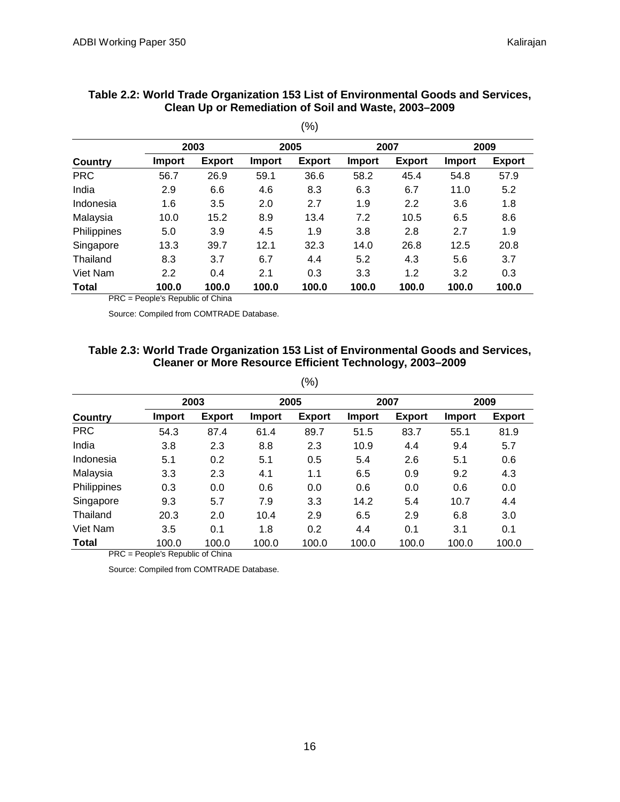|              |               |               |               | $(\% )$       |               |               |               |               |  |
|--------------|---------------|---------------|---------------|---------------|---------------|---------------|---------------|---------------|--|
|              |               | 2003          |               | 2005          |               | 2007          |               | 2009          |  |
| Country      | <b>Import</b> | <b>Export</b> | <b>Import</b> | <b>Export</b> | <b>Import</b> | <b>Export</b> | <b>Import</b> | <b>Export</b> |  |
| <b>PRC</b>   | 56.7          | 26.9          | 59.1          | 36.6          | 58.2          | 45.4          | 54.8          | 57.9          |  |
| India        | 2.9           | 6.6           | 4.6           | 8.3           | 6.3           | 6.7           | 11.0          | 5.2           |  |
| Indonesia    | 1.6           | 3.5           | 2.0           | 2.7           | 1.9           | 2.2           | 3.6           | 1.8           |  |
| Malaysia     | 10.0          | 15.2          | 8.9           | 13.4          | 7.2           | 10.5          | 6.5           | 8.6           |  |
| Philippines  | 5.0           | 3.9           | 4.5           | 1.9           | 3.8           | 2.8           | 2.7           | 1.9           |  |
| Singapore    | 13.3          | 39.7          | 12.1          | 32.3          | 14.0          | 26.8          | 12.5          | 20.8          |  |
| Thailand     | 8.3           | 3.7           | 6.7           | 4.4           | 5.2           | 4.3           | 5.6           | 3.7           |  |
| Viet Nam     | 2.2           | 0.4           | 2.1           | 0.3           | 3.3           | 1.2           | 3.2           | 0.3           |  |
| <b>Total</b> | 100.0         | 100.0         | 100.0         | 100.0         | 100.0         | 100.0         | 100.0         | 100.0         |  |

#### **Table 2.2: World Trade Organization 153 List of Environmental Goods and Services, Clean Up or Remediation of Soil and Waste, 2003–2009**

PRC = People's Republic of China

Source: Compiled from COMTRADE Database.

#### **Table 2.3: World Trade Organization 153 List of Environmental Goods and Services, Cleaner or More Resource Efficient Technology, 2003–2009**

| × | × |
|---|---|

|              | 2003   |               |        | 2005          |               | 2007          |        | 2009          |  |
|--------------|--------|---------------|--------|---------------|---------------|---------------|--------|---------------|--|
| Country      | Import | <b>Export</b> | Import | <b>Export</b> | <b>Import</b> | <b>Export</b> | Import | <b>Export</b> |  |
| <b>PRC</b>   | 54.3   | 87.4          | 61.4   | 89.7          | 51.5          | 83.7          | 55.1   | 81.9          |  |
| India        | 3.8    | 2.3           | 8.8    | 2.3           | 10.9          | 4.4           | 9.4    | 5.7           |  |
| Indonesia    | 5.1    | 0.2           | 5.1    | 0.5           | 5.4           | 2.6           | 5.1    | 0.6           |  |
| Malaysia     | 3.3    | 2.3           | 4.1    | 1.1           | 6.5           | 0.9           | 9.2    | 4.3           |  |
| Philippines  | 0.3    | 0.0           | 0.6    | 0.0           | 0.6           | 0.0           | 0.6    | 0.0           |  |
| Singapore    | 9.3    | 5.7           | 7.9    | 3.3           | 14.2          | 5.4           | 10.7   | 4.4           |  |
| Thailand     | 20.3   | 2.0           | 10.4   | 2.9           | 6.5           | 2.9           | 6.8    | 3.0           |  |
| Viet Nam     | 3.5    | 0.1           | 1.8    | 0.2           | 4.4           | 0.1           | 3.1    | 0.1           |  |
| <b>Total</b> | 100.0  | 100.0         | 100.0  | 100.0         | 100.0         | 100.0         | 100.0  | 100.0         |  |

PRC = People's Republic of China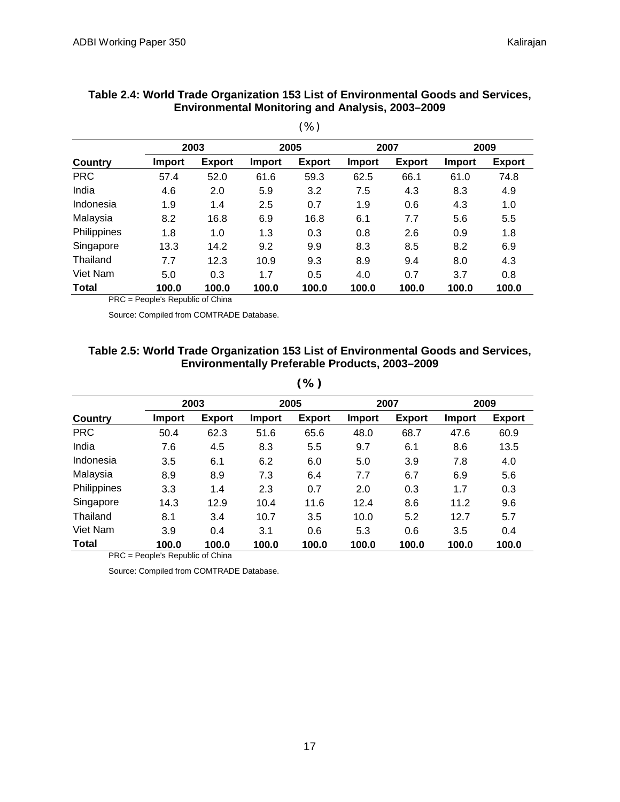|              |               |               |               | $\cdots$      |               |               |               |               |
|--------------|---------------|---------------|---------------|---------------|---------------|---------------|---------------|---------------|
|              | 2003          |               | 2005          |               | 2007          |               | 2009          |               |
| Country      | <b>Import</b> | <b>Export</b> | <b>Import</b> | <b>Export</b> | <b>Import</b> | <b>Export</b> | <b>Import</b> | <b>Export</b> |
| <b>PRC</b>   | 57.4          | 52.0          | 61.6          | 59.3          | 62.5          | 66.1          | 61.0          | 74.8          |
| India        | 4.6           | 2.0           | 5.9           | 3.2           | 7.5           | 4.3           | 8.3           | 4.9           |
| Indonesia    | 1.9           | 1.4           | 2.5           | 0.7           | 1.9           | 0.6           | 4.3           | 1.0           |
| Malaysia     | 8.2           | 16.8          | 6.9           | 16.8          | 6.1           | 7.7           | 5.6           | 5.5           |
| Philippines  | 1.8           | 1.0           | 1.3           | 0.3           | 0.8           | 2.6           | 0.9           | 1.8           |
| Singapore    | 13.3          | 14.2          | 9.2           | 9.9           | 8.3           | 8.5           | 8.2           | 6.9           |
| Thailand     | 7.7           | 12.3          | 10.9          | 9.3           | 8.9           | 9.4           | 8.0           | 4.3           |
| Viet Nam     | 5.0           | 0.3           | 1.7           | 0.5           | 4.0           | 0.7           | 3.7           | 0.8           |
| <b>Total</b> | 100.0         | 100.0         | 100.0         | 100.0         | 100.0         | 100.0         | 100.0         | 100.0         |

#### **Table 2.4: World Trade Organization 153 List of Environmental Goods and Services, Environmental Monitoring and Analysis, 2003–2009**

(%)

PRC = People's Republic of China

Source: Compiled from COMTRADE Database.

#### **Table 2.5: World Trade Organization 153 List of Environmental Goods and Services, Environmentally Preferable Products, 2003–2009**

**(%)**

|              | 2003          |               | 2005          |               | 2007          |               | 2009          |               |
|--------------|---------------|---------------|---------------|---------------|---------------|---------------|---------------|---------------|
| Country      | <b>Import</b> | <b>Export</b> | <b>Import</b> | <b>Export</b> | <b>Import</b> | <b>Export</b> | <b>Import</b> | <b>Export</b> |
| <b>PRC</b>   | 50.4          | 62.3          | 51.6          | 65.6          | 48.0          | 68.7          | 47.6          | 60.9          |
| India        | 7.6           | 4.5           | 8.3           | 5.5           | 9.7           | 6.1           | 8.6           | 13.5          |
| Indonesia    | 3.5           | 6.1           | 6.2           | 6.0           | 5.0           | 3.9           | 7.8           | 4.0           |
| Malaysia     | 8.9           | 8.9           | 7.3           | 6.4           | 7.7           | 6.7           | 6.9           | 5.6           |
| Philippines  | 3.3           | 1.4           | 2.3           | 0.7           | 2.0           | 0.3           | 1.7           | 0.3           |
| Singapore    | 14.3          | 12.9          | 10.4          | 11.6          | 12.4          | 8.6           | 11.2          | 9.6           |
| Thailand     | 8.1           | 3.4           | 10.7          | 3.5           | 10.0          | 5.2           | 12.7          | 5.7           |
| Viet Nam     | 3.9           | 0.4           | 3.1           | 0.6           | 5.3           | 0.6           | 3.5           | 0.4           |
| <b>Total</b> | 100.0         | 100.0         | 100.0         | 100.0         | 100.0         | 100.0         | 100.0         | 100.0         |

PRC = People's Republic of China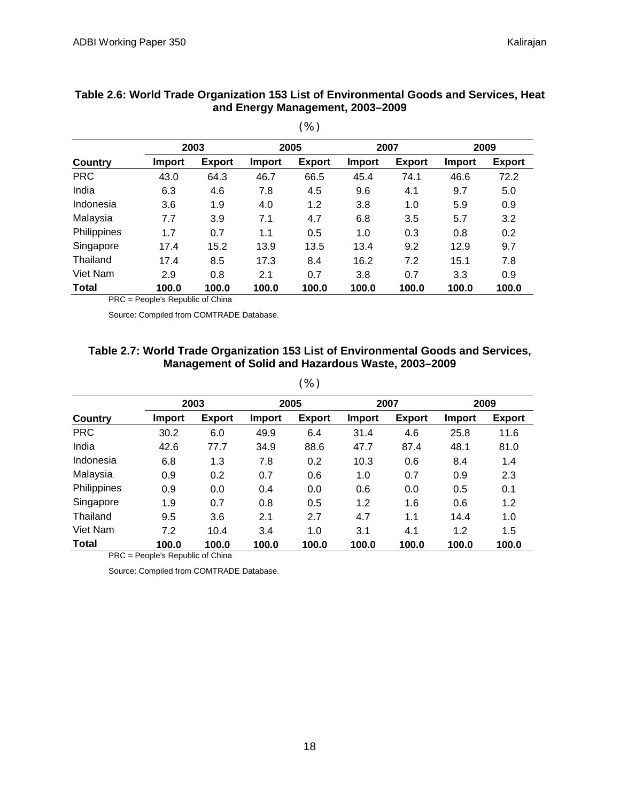|              |        |               |               | $\sqrt{2}$    |        |               |               |               |
|--------------|--------|---------------|---------------|---------------|--------|---------------|---------------|---------------|
|              | 2003   |               | 2005          |               | 2007   |               | 2009          |               |
| Country      | Import | <b>Export</b> | <b>Import</b> | <b>Export</b> | Import | <b>Export</b> | <b>Import</b> | <b>Export</b> |
| <b>PRC</b>   | 43.0   | 64.3          | 46.7          | 66.5          | 45.4   | 74.1          | 46.6          | 72.2          |
| India        | 6.3    | 4.6           | 7.8           | 4.5           | 9.6    | 4.1           | 9.7           | 5.0           |
| Indonesia    | 3.6    | 1.9           | 4.0           | 1.2           | 3.8    | 1.0           | 5.9           | 0.9           |
| Malaysia     | 7.7    | 3.9           | 7.1           | 4.7           | 6.8    | 3.5           | 5.7           | 3.2           |
| Philippines  | 1.7    | 0.7           | 1.1           | 0.5           | 1.0    | 0.3           | 0.8           | 0.2           |
| Singapore    | 17.4   | 15.2          | 13.9          | 13.5          | 13.4   | 9.2           | 12.9          | 9.7           |
| Thailand     | 17.4   | 8.5           | 17.3          | 8.4           | 16.2   | 7.2           | 15.1          | 7.8           |
| Viet Nam     | 2.9    | 0.8           | 2.1           | 0.7           | 3.8    | 0.7           | 3.3           | 0.9           |
| <b>Total</b> | 100.0  | 100.0         | 100.0         | 100.0         | 100.0  | 100.0         | 100.0         | 100.0         |

#### **Table 2.6: World Trade Organization 153 List of Environmental Goods and Services, Heat and Energy Management, 2003–2009**

 $(96)$ 

PRC = People's Republic of China

Source: Compiled from COMTRADE Database.

#### **Table 2.7: World Trade Organization 153 List of Environmental Goods and Services, Management of Solid and Hazardous Waste, 2003–2009**

|              |        | 2003          |        | 2005          |               | 2007          |               | 2009          |
|--------------|--------|---------------|--------|---------------|---------------|---------------|---------------|---------------|
| Country      | Import | <b>Export</b> | Import | <b>Export</b> | <b>Import</b> | <b>Export</b> | <b>Import</b> | <b>Export</b> |
| <b>PRC</b>   | 30.2   | 6.0           | 49.9   | 6.4           | 31.4          | 4.6           | 25.8          | 11.6          |
| India        | 42.6   | 77.7          | 34.9   | 88.6          | 47.7          | 87.4          | 48.1          | 81.0          |
| Indonesia    | 6.8    | 1.3           | 7.8    | 0.2           | 10.3          | 0.6           | 8.4           | 1.4           |
| Malaysia     | 0.9    | 0.2           | 0.7    | 0.6           | 1.0           | 0.7           | 0.9           | 2.3           |
| Philippines  | 0.9    | 0.0           | 0.4    | 0.0           | 0.6           | 0.0           | 0.5           | 0.1           |
| Singapore    | 1.9    | 0.7           | 0.8    | 0.5           | 1.2           | 1.6           | 0.6           | 1.2           |
| Thailand     | 9.5    | 3.6           | 2.1    | 2.7           | 4.7           | 1.1           | 14.4          | 1.0           |
| Viet Nam     | 7.2    | 10.4          | 3.4    | 1.0           | 3.1           | 4.1           | 1.2           | 1.5           |
| <b>Total</b> | 100.0  | 100.0         | 100.0  | 100.0         | 100.0         | 100.0         | 100.0         | 100.0         |

PRC = People's Republic of China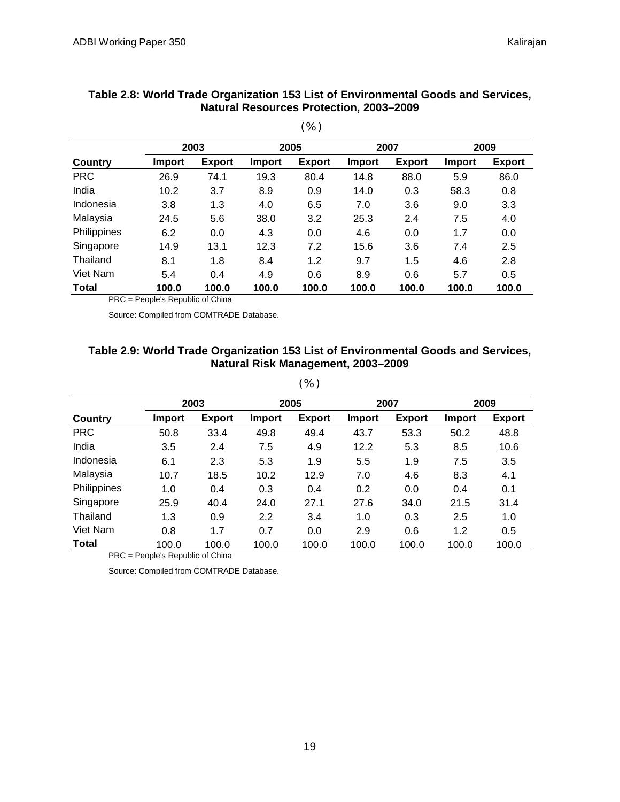|              |               |               |               | $\cdots$      |               |               |               |               |
|--------------|---------------|---------------|---------------|---------------|---------------|---------------|---------------|---------------|
|              |               | 2003          |               | 2005          |               | 2007          |               | 2009          |
| Country      | <b>Import</b> | <b>Export</b> | <b>Import</b> | <b>Export</b> | <b>Import</b> | <b>Export</b> | <b>Import</b> | <b>Export</b> |
| <b>PRC</b>   | 26.9          | 74.1          | 19.3          | 80.4          | 14.8          | 88.0          | 5.9           | 86.0          |
| India        | 10.2          | 3.7           | 8.9           | 0.9           | 14.0          | 0.3           | 58.3          | 0.8           |
| Indonesia    | 3.8           | 1.3           | 4.0           | 6.5           | 7.0           | 3.6           | 9.0           | 3.3           |
| Malaysia     | 24.5          | 5.6           | 38.0          | 3.2           | 25.3          | 2.4           | 7.5           | 4.0           |
| Philippines  | 6.2           | 0.0           | 4.3           | 0.0           | 4.6           | 0.0           | 1.7           | 0.0           |
| Singapore    | 14.9          | 13.1          | 12.3          | 7.2           | 15.6          | 3.6           | 7.4           | 2.5           |
| Thailand     | 8.1           | 1.8           | 8.4           | 1.2           | 9.7           | 1.5           | 4.6           | 2.8           |
| Viet Nam     | 5.4           | 0.4           | 4.9           | 0.6           | 8.9           | 0.6           | 5.7           | 0.5           |
| <b>Total</b> | 100.0         | 100.0         | 100.0         | 100.0         | 100.0         | 100.0         | 100.0         | 100.0         |

#### **Table 2.8: World Trade Organization 153 List of Environmental Goods and Services, Natural Resources Protection, 2003–2009**

 $(96)$ 

PRC = People's Republic of China

Source: Compiled from COMTRADE Database.

#### **Table 2.9: World Trade Organization 153 List of Environmental Goods and Services, Natural Risk Management, 2003–2009**

(%)

|              |               | 2003          |               | 2005          |               | 2007          |        | 2009          |  |
|--------------|---------------|---------------|---------------|---------------|---------------|---------------|--------|---------------|--|
| Country      | <b>Import</b> | <b>Export</b> | <b>Import</b> | <b>Export</b> | <b>Import</b> | <b>Export</b> | Import | <b>Export</b> |  |
| <b>PRC</b>   | 50.8          | 33.4          | 49.8          | 49.4          | 43.7          | 53.3          | 50.2   | 48.8          |  |
| India        | 3.5           | 2.4           | 7.5           | 4.9           | 12.2          | 5.3           | 8.5    | 10.6          |  |
| Indonesia    | 6.1           | 2.3           | 5.3           | 1.9           | 5.5           | 1.9           | 7.5    | 3.5           |  |
| Malaysia     | 10.7          | 18.5          | 10.2          | 12.9          | 7.0           | 4.6           | 8.3    | 4.1           |  |
| Philippines  | 1.0           | 0.4           | 0.3           | 0.4           | 0.2           | 0.0           | 0.4    | 0.1           |  |
| Singapore    | 25.9          | 40.4          | 24.0          | 27.1          | 27.6          | 34.0          | 21.5   | 31.4          |  |
| Thailand     | 1.3           | 0.9           | 2.2           | 3.4           | 1.0           | 0.3           | 2.5    | 1.0           |  |
| Viet Nam     | 0.8           | 1.7           | 0.7           | 0.0           | 2.9           | 0.6           | 1.2    | 0.5           |  |
| <b>Total</b> | 100.0         | 100.0         | 100.0         | 100.0         | 100.0         | 100.0         | 100.0  | 100.0         |  |

PRC = People's Republic of China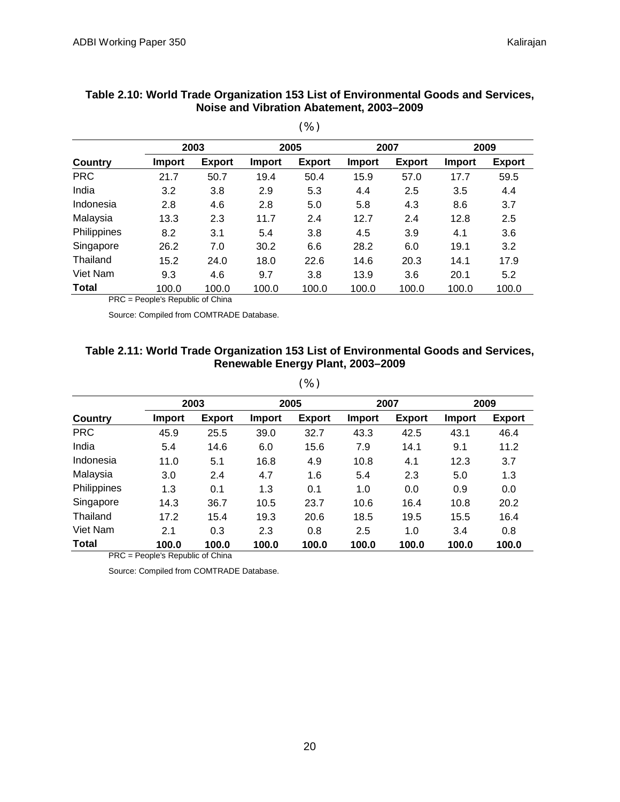|              |               |               |               | $\cdots$      |               |               |               |               |
|--------------|---------------|---------------|---------------|---------------|---------------|---------------|---------------|---------------|
|              |               | 2003          |               | 2005          |               | 2007          |               | 2009          |
| Country      | <b>Import</b> | <b>Export</b> | <b>Import</b> | <b>Export</b> | <b>Import</b> | <b>Export</b> | <b>Import</b> | <b>Export</b> |
| <b>PRC</b>   | 21.7          | 50.7          | 19.4          | 50.4          | 15.9          | 57.0          | 17.7          | 59.5          |
| India        | 3.2           | 3.8           | 2.9           | 5.3           | 4.4           | 2.5           | 3.5           | 4.4           |
| Indonesia    | 2.8           | 4.6           | 2.8           | 5.0           | 5.8           | 4.3           | 8.6           | 3.7           |
| Malaysia     | 13.3          | 2.3           | 11.7          | 2.4           | 12.7          | 2.4           | 12.8          | 2.5           |
| Philippines  | 8.2           | 3.1           | 5.4           | 3.8           | 4.5           | 3.9           | 4.1           | 3.6           |
| Singapore    | 26.2          | 7.0           | 30.2          | 6.6           | 28.2          | 6.0           | 19.1          | 3.2           |
| Thailand     | 15.2          | 24.0          | 18.0          | 22.6          | 14.6          | 20.3          | 14.1          | 17.9          |
| Viet Nam     | 9.3           | 4.6           | 9.7           | 3.8           | 13.9          | 3.6           | 20.1          | 5.2           |
| <b>Total</b> | 100.0         | 100.0         | 100.0         | 100.0         | 100.0         | 100.0         | 100.0         | 100.0         |

#### **Table 2.10: World Trade Organization 153 List of Environmental Goods and Services, Noise and Vibration Abatement, 2003–2009**

 $(96)$ 

PRC = People's Republic of China

Source: Compiled from COMTRADE Database.

#### **Table 2.11: World Trade Organization 153 List of Environmental Goods and Services, Renewable Energy Plant, 2003–2009**

(%)

|                |        | 2003          |               | 2005          |               | 2007          |               | 2009          |
|----------------|--------|---------------|---------------|---------------|---------------|---------------|---------------|---------------|
| <b>Country</b> | Import | <b>Export</b> | <b>Import</b> | <b>Export</b> | <b>Import</b> | <b>Export</b> | <b>Import</b> | <b>Export</b> |
| <b>PRC</b>     | 45.9   | 25.5          | 39.0          | 32.7          | 43.3          | 42.5          | 43.1          | 46.4          |
| India          | 5.4    | 14.6          | 6.0           | 15.6          | 7.9           | 14.1          | 9.1           | 11.2          |
| Indonesia      | 11.0   | 5.1           | 16.8          | 4.9           | 10.8          | 4.1           | 12.3          | 3.7           |
| Malaysia       | 3.0    | 2.4           | 4.7           | 1.6           | 5.4           | 2.3           | 5.0           | 1.3           |
| Philippines    | 1.3    | 0.1           | 1.3           | 0.1           | 1.0           | 0.0           | 0.9           | 0.0           |
| Singapore      | 14.3   | 36.7          | 10.5          | 23.7          | 10.6          | 16.4          | 10.8          | 20.2          |
| Thailand       | 17.2   | 15.4          | 19.3          | 20.6          | 18.5          | 19.5          | 15.5          | 16.4          |
| Viet Nam       | 2.1    | 0.3           | 2.3           | 0.8           | 2.5           | 1.0           | 3.4           | 0.8           |
| <b>Total</b>   | 100.0  | 100.0         | 100.0         | 100.0         | 100.0         | 100.0         | 100.0         | 100.0         |

PRC = People's Republic of China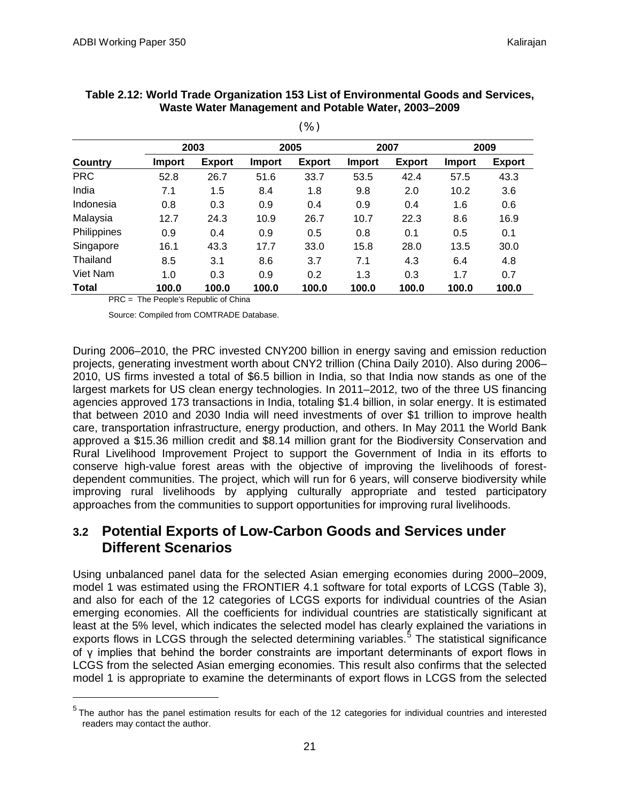|                |               |               |               | $\sqrt{2}$    |               |               |        |               |
|----------------|---------------|---------------|---------------|---------------|---------------|---------------|--------|---------------|
|                |               | 2003          |               | 2005          |               | 2007          |        | 2009          |
| <b>Country</b> | <b>Import</b> | <b>Export</b> | <b>Import</b> | <b>Export</b> | <b>Import</b> | <b>Export</b> | Import | <b>Export</b> |
| <b>PRC</b>     | 52.8          | 26.7          | 51.6          | 33.7          | 53.5          | 42.4          | 57.5   | 43.3          |
| India          | 7.1           | 1.5           | 8.4           | 1.8           | 9.8           | 2.0           | 10.2   | 3.6           |
| Indonesia      | 0.8           | 0.3           | 0.9           | 0.4           | 0.9           | 0.4           | 1.6    | 0.6           |
| Malaysia       | 12.7          | 24.3          | 10.9          | 26.7          | 10.7          | 22.3          | 8.6    | 16.9          |
| Philippines    | 0.9           | 0.4           | 0.9           | 0.5           | 0.8           | 0.1           | 0.5    | 0.1           |
| Singapore      | 16.1          | 43.3          | 17.7          | 33.0          | 15.8          | 28.0          | 13.5   | 30.0          |
| Thailand       | 8.5           | 3.1           | 8.6           | 3.7           | 7.1           | 4.3           | 6.4    | 4.8           |
| Viet Nam       | 1.0           | 0.3           | 0.9           | 0.2           | 1.3           | 0.3           | 1.7    | 0.7           |
| <b>Total</b>   | 100.0         | 100.0         | 100.0         | 100.0         | 100.0         | 100.0         | 100.0  | 100.0         |

#### **Table 2.12: World Trade Organization 153 List of Environmental Goods and Services, Waste Water Management and Potable Water, 2003–2009**

(%)

PRC = The People's Republic of China

Source: Compiled from COMTRADE Database.

During 2006–2010, the PRC invested CNY200 billion in energy saving and emission reduction projects, generating investment worth about CNY2 trillion (China Daily 2010). Also during 2006– 2010, US firms invested a total of \$6.5 billion in India, so that India now stands as one of the largest markets for US clean energy technologies. In 2011–2012, two of the three US financing agencies approved 173 transactions in India, totaling \$1.4 billion, in solar energy. It is estimated that between 2010 and 2030 India will need investments of over \$1 trillion to improve health care, transportation infrastructure, energy production, and others. In May 2011 the World Bank approved a \$15.36 million credit and \$8.14 million grant for the Biodiversity Conservation and Rural Livelihood Improvement Project to support the Government of India in its efforts to conserve high-value forest areas with the objective of improving the livelihoods of forestdependent communities. The project, which will run for 6 years, will conserve biodiversity while improving rural livelihoods by applying culturally appropriate and tested participatory approaches from the communities to support opportunities for improving rural livelihoods.

## <span id="page-22-0"></span>**3.2 Potential Exports of Low-Carbon Goods and Services under Different Scenarios**

Using unbalanced panel data for the selected Asian emerging economies during 2000–2009, model 1 was estimated using the FRONTIER 4.1 software for total exports of LCGS (Table 3), and also for each of the 12 categories of LCGS exports for individual countries of the Asian emerging economies. All the coefficients for individual countries are statistically significant at least at the 5% level, which indicates the selected model has clearly explained the variations in exports flows in LCGS through the selected determining variables.<sup>[5](#page-22-1)</sup> The statistical significance of γ implies that behind the border constraints are important determinants of export flows in LCGS from the selected Asian emerging economies. This result also confirms that the selected model 1 is appropriate to examine the determinants of export flows in LCGS from the selected

<span id="page-22-1"></span> $5$  The author has the panel estimation results for each of the 12 categories for individual countries and interested readers may contact the author.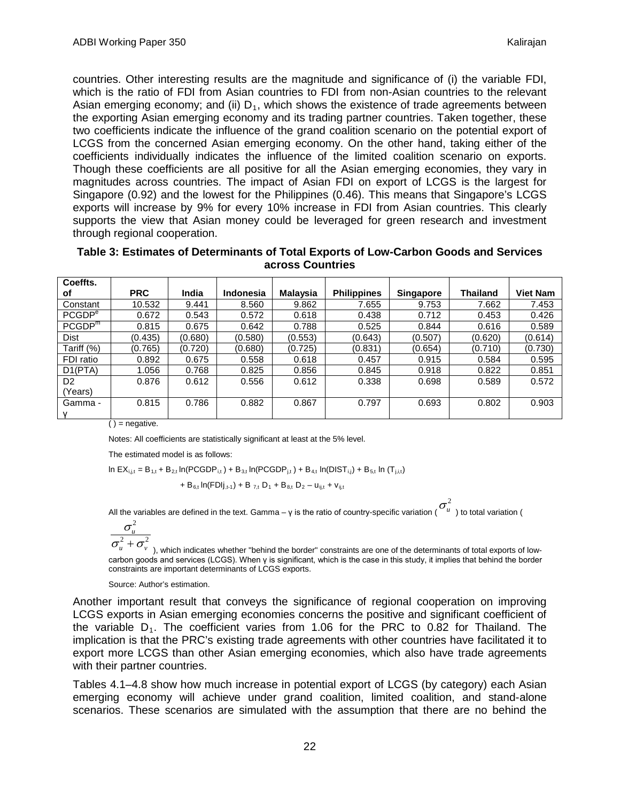countries. Other interesting results are the magnitude and significance of (i) the variable FDI, which is the ratio of FDI from Asian countries to FDI from non-Asian countries to the relevant Asian emerging economy; and (ii)  $D_1$ , which shows the existence of trade agreements between the exporting Asian emerging economy and its trading partner countries. Taken together, these two coefficients indicate the influence of the grand coalition scenario on the potential export of LCGS from the concerned Asian emerging economy. On the other hand, taking either of the coefficients individually indicates the influence of the limited coalition scenario on exports. Though these coefficients are all positive for all the Asian emerging economies, they vary in magnitudes across countries. The impact of Asian FDI on export of LCGS is the largest for Singapore (0.92) and the lowest for the Philippines (0.46). This means that Singapore's LCGS exports will increase by 9% for every 10% increase in FDI from Asian countries. This clearly supports the view that Asian money could be leveraged for green research and investment through regional cooperation.

| Table 3: Estimates of Determinants of Total Exports of Low-Carbon Goods and Services |  |
|--------------------------------------------------------------------------------------|--|
| across Countries                                                                     |  |

| Coeffts.           |            |         |           |          |                    |                  |          |                 |
|--------------------|------------|---------|-----------|----------|--------------------|------------------|----------|-----------------|
| οf                 | <b>PRC</b> | India   | Indonesia | Malaysia | <b>Philippines</b> | <b>Singapore</b> | Thailand | <b>Viet Nam</b> |
| Constant           | 10.532     | 9.441   | 8.560     | 9.862    | 7.655              | 9.753            | 7.662    | 7.453           |
| PCGDP <sup>e</sup> | 0.672      | 0.543   | 0.572     | 0.618    | 0.438              | 0.712            | 0.453    | 0.426           |
| PCGDP <sup>m</sup> | 0.815      | 0.675   | 0.642     | 0.788    | 0.525              | 0.844            | 0.616    | 0.589           |
| <b>Dist</b>        | (0.435)    | (0.680) | (0.580)   | (0.553)  | (0.643)            | (0.507)          | (0.620)  | (0.614)         |
| Tariff (%)         | (0.765)    | (0.720) | (0.680)   | (0.725)  | (0.831)            | (0.654)          | (0.710)  | (0.730)         |
| FDI ratio          | 0.892      | 0.675   | 0.558     | 0.618    | 0.457              | 0.915            | 0.584    | 0.595           |
| D1(PTA)            | 1.056      | 0.768   | 0.825     | 0.856    | 0.845              | 0.918            | 0.822    | 0.851           |
| D <sub>2</sub>     | 0.876      | 0.612   | 0.556     | 0.612    | 0.338              | 0.698            | 0.589    | 0.572           |
| (Years)            |            |         |           |          |                    |                  |          |                 |
| Gamma -            | 0.815      | 0.786   | 0.882     | 0.867    | 0.797              | 0.693            | 0.802    | 0.903           |
|                    |            |         |           |          |                    |                  |          |                 |

 $()$  = negative.

Notes: All coefficients are statistically significant at least at the 5% level.

The estimated model is as follows:

In EX $_{i,j,t}$  = B $_{1,t}$  + B $_{2,t}$  In(PCGDP $_{\rm i,t}$ ) + B $_{3,t}$  In(PCGDP $_{\rm j,t}$ ) + B $_{4,t}$  In(DIST $_{\rm i,j}$ ) + B $_{5,t}$  In (T $_{\rm j,i,t})$ 

+ B 6,t ln(FDIj,t-1) + B 7,t D1 + B8,t D2 – uij,t + vij,t

All the variables are defined in the text. Gamma – γ is the ratio of country-specific variation ( $\sigma^2_u$  ) to total variation (

$$
\frac{\sigma_u^2}{\sigma_u^2 + \sigma^2}
$$

 $\sigma^2_u+\sigma^2_{\rm \scriptscriptstyle V}$  ), which indicates whether "behind the border" constraints are one of the determinants of total exports of lowcarbon goods and services (LCGS). When γ is significant, which is the case in this study, it implies that behind the border constraints are important determinants of LCGS exports.

Source: Author's estimation.

Another important result that conveys the significance of regional cooperation on improving LCGS exports in Asian emerging economies concerns the positive and significant coefficient of the variable  $D_1$ . The coefficient varies from 1.06 for the PRC to 0.82 for Thailand. The implication is that the PRC's existing trade agreements with other countries have facilitated it to export more LCGS than other Asian emerging economies, which also have trade agreements with their partner countries.

Tables 4.1–4.8 show how much increase in potential export of LCGS (by category) each Asian emerging economy will achieve under grand coalition, limited coalition, and stand-alone scenarios. These scenarios are simulated with the assumption that there are no behind the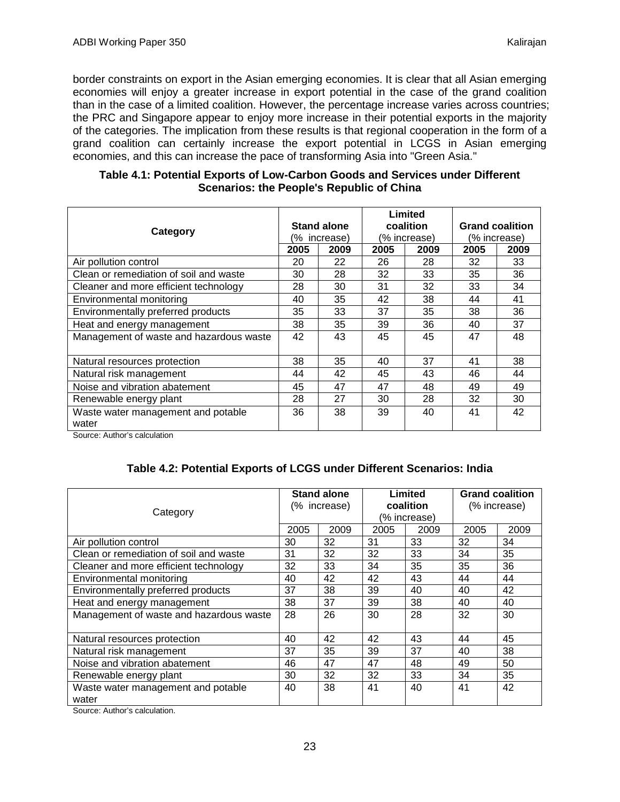border constraints on export in the Asian emerging economies. It is clear that all Asian emerging economies will enjoy a greater increase in export potential in the case of the grand coalition than in the case of a limited coalition. However, the percentage increase varies across countries; the PRC and Singapore appear to enjoy more increase in their potential exports in the majority of the categories. The implication from these results is that regional cooperation in the form of a grand coalition can certainly increase the export potential in LCGS in Asian emerging economies, and this can increase the pace of transforming Asia into "Green Asia."

| Category                                    |      | Stand alone<br>% increase) |      | Limited<br>coalition<br>(% increase) | <b>Grand coalition</b><br>(% increase) |      |
|---------------------------------------------|------|----------------------------|------|--------------------------------------|----------------------------------------|------|
|                                             | 2005 | 2009                       | 2005 | 2009                                 | 2005                                   | 2009 |
| Air pollution control                       | 20   | 22                         | 26   | 28                                   | 32                                     | 33   |
| Clean or remediation of soil and waste      | 30   | 28                         | 32   | 33                                   | 35                                     | 36   |
| Cleaner and more efficient technology       | 28   | 30                         | 31   | 32                                   | 33                                     | 34   |
| Environmental monitoring                    | 40   | 35                         | 42   | 38                                   | 44                                     | 41   |
| Environmentally preferred products          | 35   | 33                         | 37   | 35                                   | 38                                     | 36   |
| Heat and energy management                  | 38   | 35                         | 39   | 36                                   | 40                                     | 37   |
| Management of waste and hazardous waste     | 42   | 43                         | 45   | 45                                   | 47                                     | 48   |
| Natural resources protection                | 38   | 35                         | 40   | 37                                   | 41                                     | 38   |
| Natural risk management                     | 44   | 42                         | 45   | 43                                   | 46                                     | 44   |
| Noise and vibration abatement               | 45   | 47                         | 47   | 48                                   | 49                                     | 49   |
| Renewable energy plant                      | 28   | 27                         | 30   | 28                                   | 32                                     | 30   |
| Waste water management and potable<br>water | 36   | 38                         | 39   | 40                                   | 41                                     | 42   |

#### **Table 4.1: Potential Exports of Low-Carbon Goods and Services under Different Scenarios: the People's Republic of China**

Source: Author's calculation

### **Table 4.2: Potential Exports of LCGS under Different Scenarios: India**

| Category                                    |      | <b>Stand alone</b><br>(% increase) |      | Limited<br>coalition<br>(% increase) | <b>Grand coalition</b><br>(% increase) |      |
|---------------------------------------------|------|------------------------------------|------|--------------------------------------|----------------------------------------|------|
|                                             | 2005 | 2009                               | 2005 | 2009                                 | 2005                                   | 2009 |
| Air pollution control                       | 30   | 32                                 | 31   | 33                                   | 32                                     | 34   |
| Clean or remediation of soil and waste      | 31   | 32                                 | 32   | 33                                   | 34                                     | 35   |
| Cleaner and more efficient technology       | 32   | 33                                 | 34   | 35                                   | 35                                     | 36   |
| Environmental monitoring                    | 40   | 42                                 | 42   | 43                                   | 44                                     | 44   |
| Environmentally preferred products          | 37   | 38                                 | 39   | 40                                   | 40                                     | 42   |
| Heat and energy management                  | 38   | 37                                 | 39   | 38                                   | 40                                     | 40   |
| Management of waste and hazardous waste     | 28   | 26                                 | 30   | 28                                   | 32                                     | 30   |
| Natural resources protection                | 40   | 42                                 | 42   | 43                                   | 44                                     | 45   |
| Natural risk management                     | 37   | 35                                 | 39   | 37                                   | 40                                     | 38   |
| Noise and vibration abatement               | 46   | 47                                 | 47   | 48                                   | 49                                     | 50   |
| Renewable energy plant                      | 30   | 32                                 | 32   | 33                                   | 34                                     | 35   |
| Waste water management and potable<br>water | 40   | 38                                 | 41   | 40                                   | 41                                     | 42   |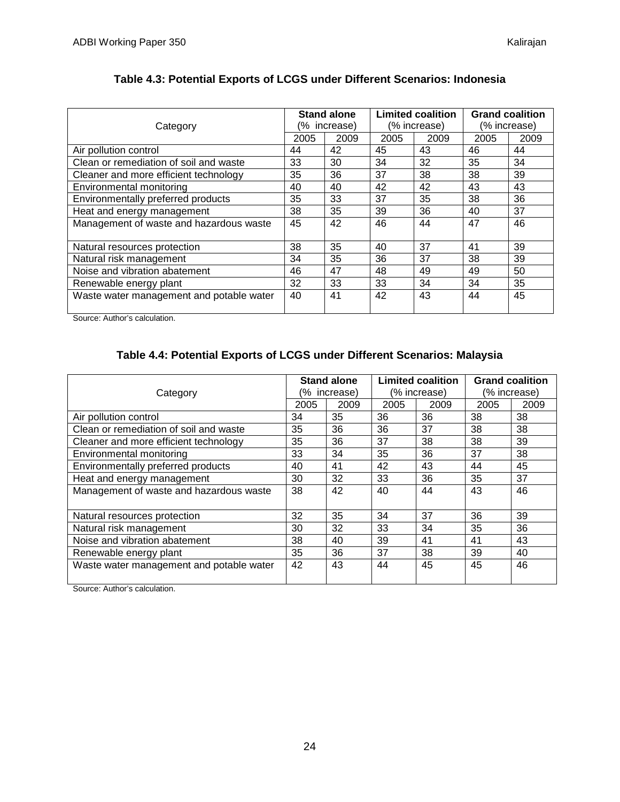| Category                                 |      | <b>Stand alone</b><br>(% increase) |      | <b>Limited coalition</b><br>(% increase) | <b>Grand coalition</b><br>(% increase) |      |
|------------------------------------------|------|------------------------------------|------|------------------------------------------|----------------------------------------|------|
|                                          | 2005 | 2009                               | 2005 | 2009                                     | 2005                                   | 2009 |
| Air pollution control                    | 44   | 42                                 | 45   | 43                                       | 46                                     | 44   |
| Clean or remediation of soil and waste   | 33   | 30                                 | 34   | 32                                       | 35                                     | 34   |
| Cleaner and more efficient technology    | 35   | 36                                 | 37   | 38                                       | 38                                     | 39   |
| Environmental monitoring                 | 40   | 40                                 | 42   | 42                                       | 43                                     | 43   |
| Environmentally preferred products       | 35   | 33                                 | 37   | 35                                       | 38                                     | 36   |
| Heat and energy management               | 38   | 35                                 | 39   | 36                                       | 40                                     | 37   |
| Management of waste and hazardous waste  | 45   | 42                                 | 46   | 44                                       | 47                                     | 46   |
| Natural resources protection             | 38   | 35                                 | 40   | 37                                       | 41                                     | 39   |
| Natural risk management                  | 34   | 35                                 | 36   | 37                                       | 38                                     | 39   |
| Noise and vibration abatement            | 46   | 47                                 | 48   | 49                                       | 49                                     | 50   |
| Renewable energy plant                   | 32   | 33                                 | 33   | 34                                       | 34                                     | 35   |
| Waste water management and potable water | 40   | 41                                 | 42   | 43                                       | 44                                     | 45   |

### **Table 4.3: Potential Exports of LCGS under Different Scenarios: Indonesia**

Source: Author's calculation.

## **Table 4.4: Potential Exports of LCGS under Different Scenarios: Malaysia**

| Category                                 |      | <b>Stand alone</b><br>(% increase) |      | <b>Limited coalition</b><br>(% increase) | <b>Grand coalition</b><br>(% increase) |      |
|------------------------------------------|------|------------------------------------|------|------------------------------------------|----------------------------------------|------|
|                                          | 2005 | 2009                               | 2005 | 2009                                     | 2005                                   | 2009 |
| Air pollution control                    | 34   | 35                                 | 36   | 36                                       | 38                                     | 38   |
| Clean or remediation of soil and waste   | 35   | 36                                 | 36   | 37                                       | 38                                     | 38   |
| Cleaner and more efficient technology    | 35   | 36                                 | 37   | 38                                       | 38                                     | 39   |
| Environmental monitoring                 | 33   | 34                                 | 35   | 36                                       | 37                                     | 38   |
| Environmentally preferred products       | 40   | 41                                 | 42   | 43                                       | 44                                     | 45   |
| Heat and energy management               | 30   | 32                                 | 33   | 36                                       | 35                                     | 37   |
| Management of waste and hazardous waste  | 38   | 42                                 | 40   | 44                                       | 43                                     | 46   |
| Natural resources protection             | 32   | 35                                 | 34   | 37                                       | 36                                     | 39   |
| Natural risk management                  | 30   | 32                                 | 33   | 34                                       | 35                                     | 36   |
| Noise and vibration abatement            | 38   | 40                                 | 39   | 41                                       | 41                                     | 43   |
| Renewable energy plant                   | 35   | 36                                 | 37   | 38                                       | 39                                     | 40   |
| Waste water management and potable water | 42   | 43                                 | 44   | 45                                       | 45                                     | 46   |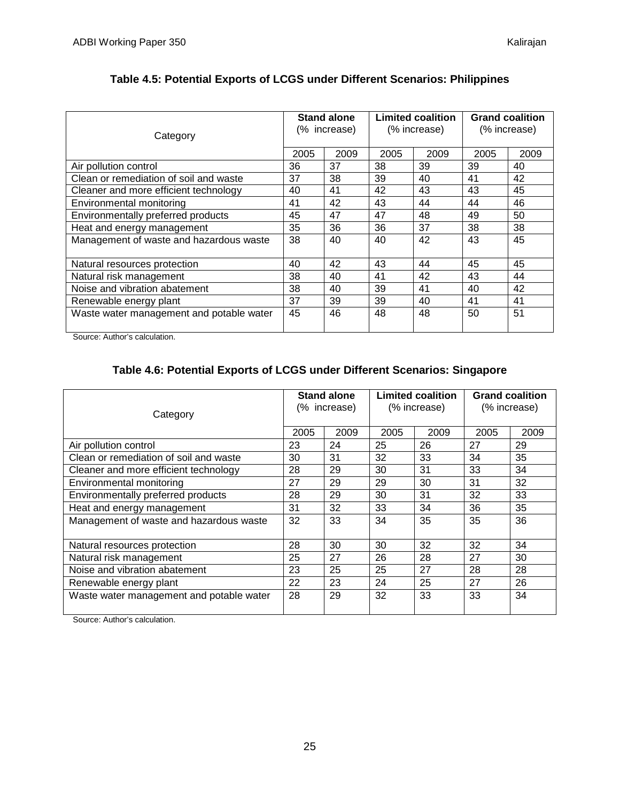| Category                                 | <b>Stand alone</b><br>(% increase) |      | <b>Limited coalition</b><br>(% increase) |      | <b>Grand coalition</b><br>(% increase) |      |
|------------------------------------------|------------------------------------|------|------------------------------------------|------|----------------------------------------|------|
|                                          | 2005                               | 2009 | 2005                                     | 2009 | 2005                                   | 2009 |
| Air pollution control                    | 36                                 | 37   | 38                                       | 39   | 39                                     | 40   |
| Clean or remediation of soil and waste   | 37                                 | 38   | 39                                       | 40   | 41                                     | 42   |
| Cleaner and more efficient technology    | 40                                 | 41   | 42                                       | 43   | 43                                     | 45   |
| Environmental monitoring                 | 41                                 | 42   | 43                                       | 44   | 44                                     | 46   |
| Environmentally preferred products       | 45                                 | 47   | 47                                       | 48   | 49                                     | 50   |
| Heat and energy management               | 35                                 | 36   | 36                                       | 37   | 38                                     | 38   |
| Management of waste and hazardous waste  | 38                                 | 40   | 40                                       | 42   | 43                                     | 45   |
| Natural resources protection             | 40                                 | 42   | 43                                       | 44   | 45                                     | 45   |
| Natural risk management                  | 38                                 | 40   | 41                                       | 42   | 43                                     | 44   |
| Noise and vibration abatement            | 38                                 | 40   | 39                                       | 41   | 40                                     | 42   |
| Renewable energy plant                   | 37                                 | 39   | 39                                       | 40   | 41                                     | 41   |
| Waste water management and potable water | 45                                 | 46   | 48                                       | 48   | 50                                     | 51   |

### **Table 4.5: Potential Exports of LCGS under Different Scenarios: Philippines**

Source: Author's calculation.

### **Table 4.6: Potential Exports of LCGS under Different Scenarios: Singapore**

| Category                                 | <b>Stand alone</b><br>(% increase) |      | <b>Limited coalition</b><br>(% increase) |      | <b>Grand coalition</b><br>(% increase) |      |
|------------------------------------------|------------------------------------|------|------------------------------------------|------|----------------------------------------|------|
|                                          | 2005                               | 2009 | 2005                                     | 2009 | 2005                                   | 2009 |
| Air pollution control                    | 23                                 | 24   | 25                                       | 26   | 27                                     | 29   |
| Clean or remediation of soil and waste   | 30                                 | 31   | 32                                       | 33   | 34                                     | 35   |
| Cleaner and more efficient technology    | 28                                 | 29   | 30                                       | 31   | 33                                     | 34   |
| Environmental monitoring                 | 27                                 | 29   | 29                                       | 30   | 31                                     | 32   |
| Environmentally preferred products       | 28                                 | 29   | 30                                       | 31   | 32                                     | 33   |
| Heat and energy management               | 31                                 | 32   | 33                                       | 34   | 36                                     | 35   |
| Management of waste and hazardous waste  | 32                                 | 33   | 34                                       | 35   | 35                                     | 36   |
| Natural resources protection             | 28                                 | 30   | 30                                       | 32   | 32                                     | 34   |
| Natural risk management                  | 25                                 | 27   | 26                                       | 28   | 27                                     | 30   |
| Noise and vibration abatement            | 23                                 | 25   | 25                                       | 27   | 28                                     | 28   |
| Renewable energy plant                   | 22                                 | 23   | 24                                       | 25   | 27                                     | 26   |
| Waste water management and potable water | 28                                 | 29   | 32                                       | 33   | 33                                     | 34   |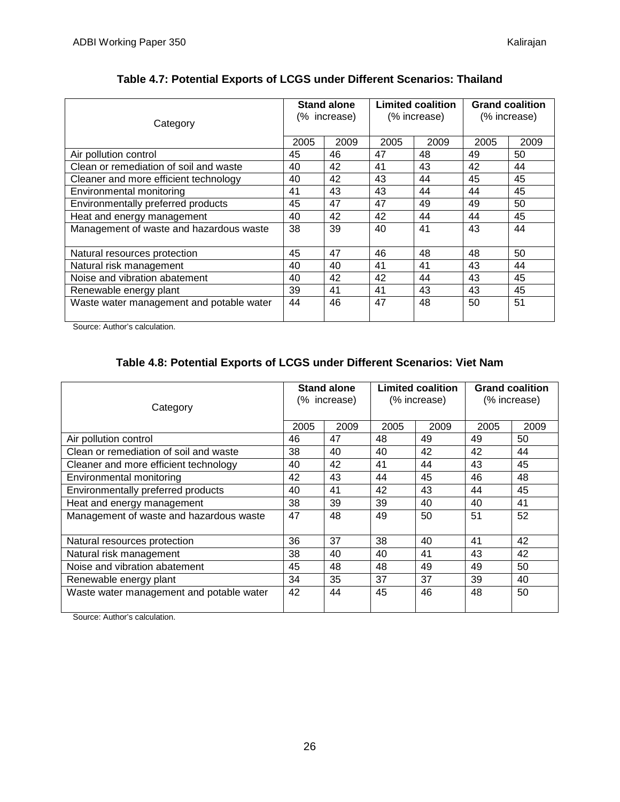| Category                                 | Stand alone<br>(% increase) |      | <b>Limited coalition</b><br>(% increase) |      | <b>Grand coalition</b><br>(% increase) |      |
|------------------------------------------|-----------------------------|------|------------------------------------------|------|----------------------------------------|------|
|                                          | 2005                        | 2009 | 2005                                     | 2009 | 2005                                   | 2009 |
| Air pollution control                    | 45                          | 46   | 47                                       | 48   | 49                                     | 50   |
| Clean or remediation of soil and waste   | 40                          | 42   | 41                                       | 43   | 42                                     | 44   |
| Cleaner and more efficient technology    | 40                          | 42   | 43                                       | 44   | 45                                     | 45   |
| Environmental monitoring                 | 41                          | 43   | 43                                       | 44   | 44                                     | 45   |
| Environmentally preferred products       | 45                          | 47   | 47                                       | 49   | 49                                     | 50   |
| Heat and energy management               | 40                          | 42   | 42                                       | 44   | 44                                     | 45   |
| Management of waste and hazardous waste  | 38                          | 39   | 40                                       | 41   | 43                                     | 44   |
| Natural resources protection             | 45                          | 47   | 46                                       | 48   | 48                                     | 50   |
| Natural risk management                  | 40                          | 40   | 41                                       | 41   | 43                                     | 44   |
| Noise and vibration abatement            | 40                          | 42   | 42                                       | 44   | 43                                     | 45   |
| Renewable energy plant                   | 39                          | 41   | 41                                       | 43   | 43                                     | 45   |
| Waste water management and potable water | 44                          | 46   | 47                                       | 48   | 50                                     | 51   |

### **Table 4.7: Potential Exports of LCGS under Different Scenarios: Thailand**

Source: Author's calculation.

### **Table 4.8: Potential Exports of LCGS under Different Scenarios: Viet Nam**

| Category                                 | <b>Stand alone</b><br>(% increase) |      | <b>Limited coalition</b><br>(% increase) |      | <b>Grand coalition</b><br>(% increase) |      |
|------------------------------------------|------------------------------------|------|------------------------------------------|------|----------------------------------------|------|
|                                          | 2005                               | 2009 | 2005                                     | 2009 | 2005                                   | 2009 |
| Air pollution control                    | 46                                 | 47   | 48                                       | 49   | 49                                     | 50   |
| Clean or remediation of soil and waste   | 38                                 | 40   | 40                                       | 42   | 42                                     | 44   |
| Cleaner and more efficient technology    | 40                                 | 42   | 41                                       | 44   | 43                                     | 45   |
| Environmental monitoring                 | 42                                 | 43   | 44                                       | 45   | 46                                     | 48   |
| Environmentally preferred products       | 40                                 | 41   | 42                                       | 43   | 44                                     | 45   |
| Heat and energy management               | 38                                 | 39   | 39                                       | 40   | 40                                     | 41   |
| Management of waste and hazardous waste  | 47                                 | 48   | 49                                       | 50   | 51                                     | 52   |
| Natural resources protection             | 36                                 | 37   | 38                                       | 40   | 41                                     | 42   |
| Natural risk management                  | 38                                 | 40   | 40                                       | 41   | 43                                     | 42   |
| Noise and vibration abatement            | 45                                 | 48   | 48                                       | 49   | 49                                     | 50   |
| Renewable energy plant                   | 34                                 | 35   | 37                                       | 37   | 39                                     | 40   |
| Waste water management and potable water | 42                                 | 44   | 45                                       | 46   | 48                                     | 50   |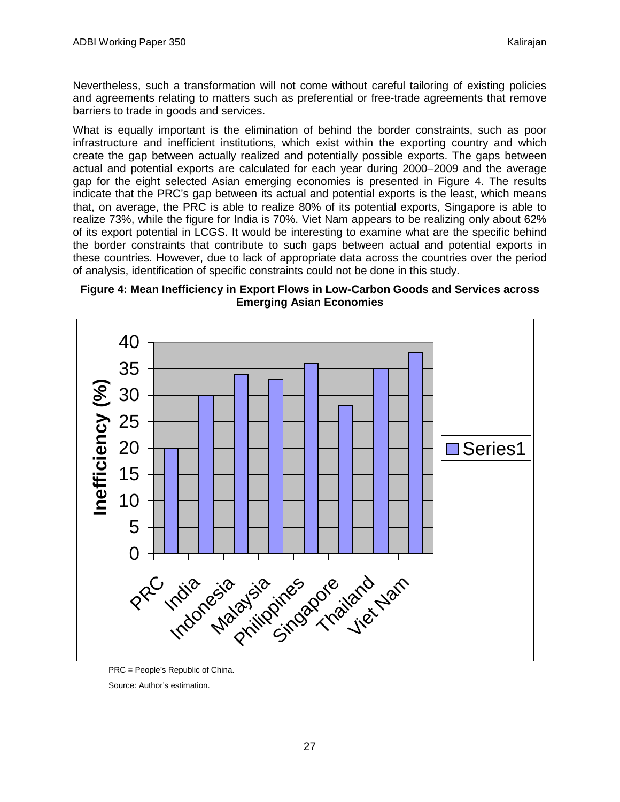Nevertheless, such a transformation will not come without careful tailoring of existing policies and agreements relating to matters such as preferential or free-trade agreements that remove barriers to trade in goods and services.

What is equally important is the elimination of behind the border constraints, such as poor infrastructure and inefficient institutions, which exist within the exporting country and which create the gap between actually realized and potentially possible exports. The gaps between actual and potential exports are calculated for each year during 2000–2009 and the average gap for the eight selected Asian emerging economies is presented in Figure 4. The results indicate that the PRC's gap between its actual and potential exports is the least, which means that, on average, the PRC is able to realize 80% of its potential exports, Singapore is able to realize 73%, while the figure for India is 70%. Viet Nam appears to be realizing only about 62% of its export potential in LCGS. It would be interesting to examine what are the specific behind the border constraints that contribute to such gaps between actual and potential exports in these countries. However, due to lack of appropriate data across the countries over the period of analysis, identification of specific constraints could not be done in this study.





PRC = People's Republic of China.

Source: Author's estimation.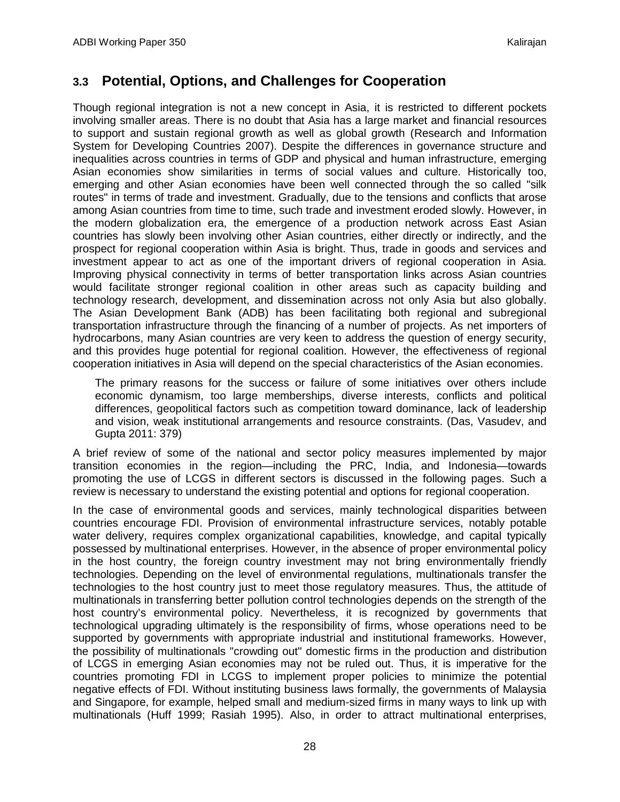## <span id="page-29-0"></span>**3.3 Potential, Options, and Challenges for Cooperation**

Though regional integration is not a new concept in Asia, it is restricted to different pockets involving smaller areas. There is no doubt that Asia has a large market and financial resources to support and sustain regional growth as well as global growth (Research and Information System for Developing Countries 2007). Despite the differences in governance structure and inequalities across countries in terms of GDP and physical and human infrastructure, emerging Asian economies show similarities in terms of social values and culture. Historically too, emerging and other Asian economies have been well connected through the so called "silk routes" in terms of trade and investment. Gradually, due to the tensions and conflicts that arose among Asian countries from time to time, such trade and investment eroded slowly. However, in the modern globalization era, the emergence of a production network across East Asian countries has slowly been involving other Asian countries, either directly or indirectly, and the prospect for regional cooperation within Asia is bright. Thus, trade in goods and services and investment appear to act as one of the important drivers of regional cooperation in Asia. Improving physical connectivity in terms of better transportation links across Asian countries would facilitate stronger regional coalition in other areas such as capacity building and technology research, development, and dissemination across not only Asia but also globally. The Asian Development Bank (ADB) has been facilitating both regional and subregional transportation infrastructure through the financing of a number of projects. As net importers of hydrocarbons, many Asian countries are very keen to address the question of energy security, and this provides huge potential for regional coalition. However, the effectiveness of regional cooperation initiatives in Asia will depend on the special characteristics of the Asian economies.

The primary reasons for the success or failure of some initiatives over others include economic dynamism, too large memberships, diverse interests, conflicts and political differences, geopolitical factors such as competition toward dominance, lack of leadership and vision, weak institutional arrangements and resource constraints. (Das, Vasudev, and Gupta 2011: 379)

A brief review of some of the national and sector policy measures implemented by major transition economies in the region—including the PRC, India, and Indonesia—towards promoting the use of LCGS in different sectors is discussed in the following pages. Such a review is necessary to understand the existing potential and options for regional cooperation.

In the case of environmental goods and services, mainly technological disparities between countries encourage FDI. Provision of environmental infrastructure services, notably potable water delivery, requires complex organizational capabilities, knowledge, and capital typically possessed by multinational enterprises. However, in the absence of proper environmental policy in the host country, the foreign country investment may not bring environmentally friendly technologies. Depending on the level of environmental regulations, multinationals transfer the technologies to the host country just to meet those regulatory measures. Thus, the attitude of multinationals in transferring better pollution control technologies depends on the strength of the host country's environmental policy. Nevertheless, it is recognized by governments that technological upgrading ultimately is the responsibility of firms, whose operations need to be supported by governments with appropriate industrial and institutional frameworks. However, the possibility of multinationals "crowding out" domestic firms in the production and distribution of LCGS in emerging Asian economies may not be ruled out. Thus, it is imperative for the countries promoting FDI in LCGS to implement proper policies to minimize the potential negative effects of FDI. Without instituting business laws formally, the governments of Malaysia and Singapore, for example, helped small and medium-sized firms in many ways to link up with multinationals (Huff 1999; Rasiah 1995). Also, in order to attract multinational enterprises,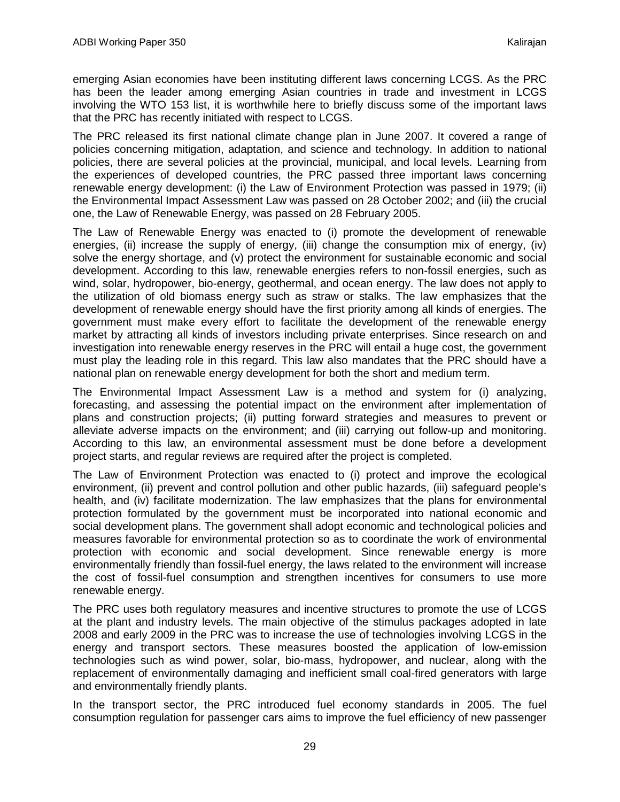emerging Asian economies have been instituting different laws concerning LCGS. As the PRC has been the leader among emerging Asian countries in trade and investment in LCGS involving the WTO 153 list, it is worthwhile here to briefly discuss some of the important laws that the PRC has recently initiated with respect to LCGS.

The PRC released its first national climate change plan in June 2007. It covered a range of policies concerning mitigation, adaptation, and science and technology. In addition to national policies, there are several policies at the provincial, municipal, and local levels. Learning from the experiences of developed countries, the PRC passed three important laws concerning renewable energy development: (i) the Law of Environment Protection was passed in 1979; (ii) the Environmental Impact Assessment Law was passed on 28 October 2002; and (iii) the crucial one, the Law of Renewable Energy, was passed on 28 February 2005.

The Law of Renewable Energy was enacted to (i) promote the development of renewable energies, (ii) increase the supply of energy, (iii) change the consumption mix of energy, (iv) solve the energy shortage, and (v) protect the environment for sustainable economic and social development. According to this law, renewable energies refers to non-fossil energies, such as wind, solar, hydropower, bio-energy, geothermal, and ocean energy. The law does not apply to the utilization of old biomass energy such as straw or stalks. The law emphasizes that the development of renewable energy should have the first priority among all kinds of energies. The government must make every effort to facilitate the development of the renewable energy market by attracting all kinds of investors including private enterprises. Since research on and investigation into renewable energy reserves in the PRC will entail a huge cost, the government must play the leading role in this regard. This law also mandates that the PRC should have a national plan on renewable energy development for both the short and medium term.

The Environmental Impact Assessment Law is a method and system for (i) analyzing, forecasting, and assessing the potential impact on the environment after implementation of plans and construction projects; (ii) putting forward strategies and measures to prevent or alleviate adverse impacts on the environment; and (iii) carrying out follow-up and monitoring. According to this law, an environmental assessment must be done before a development project starts, and regular reviews are required after the project is completed.

The Law of Environment Protection was enacted to (i) protect and improve the ecological environment, (ii) prevent and control pollution and other public hazards, (iii) safeguard people's health, and (iv) facilitate modernization. The law emphasizes that the plans for environmental protection formulated by the government must be incorporated into national economic and social development plans. The government shall adopt economic and technological policies and measures favorable for environmental protection so as to coordinate the work of environmental protection with economic and social development. Since renewable energy is more environmentally friendly than fossil-fuel energy, the laws related to the environment will increase the cost of fossil-fuel consumption and strengthen incentives for consumers to use more renewable energy.

The PRC uses both regulatory measures and incentive structures to promote the use of LCGS at the plant and industry levels. The main objective of the stimulus packages adopted in late 2008 and early 2009 in the PRC was to increase the use of technologies involving LCGS in the energy and transport sectors. These measures boosted the application of low-emission technologies such as wind power, solar, bio-mass, hydropower, and nuclear, along with the replacement of environmentally damaging and inefficient small coal-fired generators with large and environmentally friendly plants.

In the transport sector, the PRC introduced fuel economy standards in 2005. The fuel consumption regulation for passenger cars aims to improve the fuel efficiency of new passenger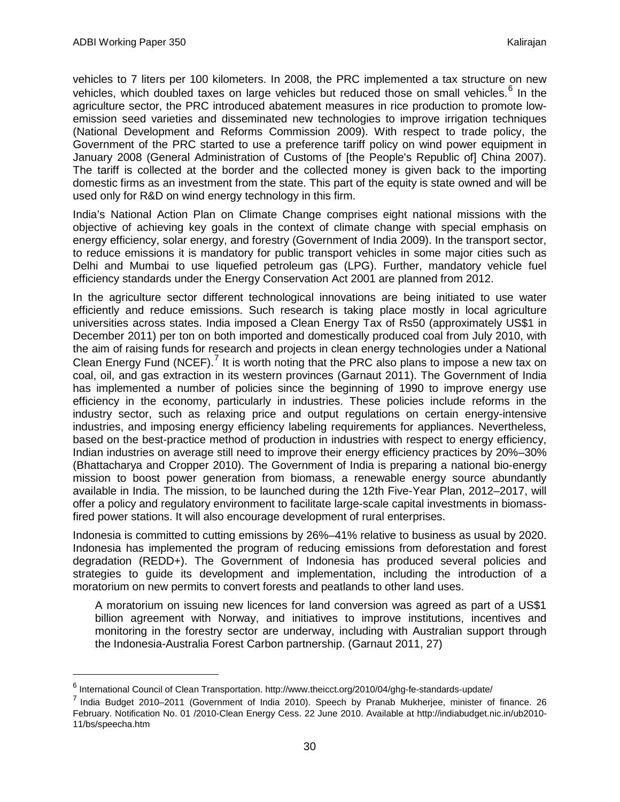vehicles to 7 liters per 100 kilometers. In 2008, the PRC implemented a tax structure on new vehicles, which doubled taxes on large vehicles but reduced those on small vehicles.<sup>[6](#page-31-0)</sup> In the agriculture sector, the PRC introduced abatement measures in rice production to promote lowemission seed varieties and disseminated new technologies to improve irrigation techniques (National Development and Reforms Commission 2009). With respect to trade policy, the Government of the PRC started to use a preference tariff policy on wind power equipment in January 2008 (General Administration of Customs of [the People's Republic of] China 2007). The tariff is collected at the border and the collected money is given back to the importing domestic firms as an investment from the state. This part of the equity is state owned and will be used only for R&D on wind energy technology in this firm.

India's National Action Plan on Climate Change comprises eight national missions with the objective of achieving key goals in the context of climate change with special emphasis on energy efficiency, solar energy, and forestry (Government of India 2009). In the transport sector, to reduce emissions it is mandatory for public transport vehicles in some major cities such as Delhi and Mumbai to use liquefied petroleum gas (LPG). Further, mandatory vehicle fuel efficiency standards under the Energy Conservation Act 2001 are planned from 2012.

In the agriculture sector different technological innovations are being initiated to use water efficiently and reduce emissions. Such research is taking place mostly in local agriculture universities across states. India imposed a Clean Energy Tax of Rs50 (approximately US\$1 in December 2011) per ton on both imported and domestically produced coal from July 2010, with the aim of raising funds for research and projects in clean energy technologies under a National Clean Energy Fund (NCEF).<sup>[7](#page-31-1)</sup> It is worth noting that the PRC also plans to impose a new tax on coal, oil, and gas extraction in its western provinces (Garnaut 2011). The Government of India has implemented a number of policies since the beginning of 1990 to improve energy use efficiency in the economy, particularly in industries. These policies include reforms in the industry sector, such as relaxing price and output regulations on certain energy-intensive industries, and imposing energy efficiency labeling requirements for appliances. Nevertheless, based on the best-practice method of production in industries with respect to energy efficiency, Indian industries on average still need to improve their energy efficiency practices by 20%–30% (Bhattacharya and Cropper 2010). The Government of India is preparing a national bio-energy mission to boost power generation from biomass, a renewable energy source abundantly available in India. The mission, to be launched during the 12th Five-Year Plan, 2012–2017, will offer a policy and regulatory environment to facilitate large-scale capital investments in biomassfired power stations. It will also encourage development of rural enterprises.

Indonesia is committed to cutting emissions by 26%–41% relative to business as usual by 2020. Indonesia has implemented the program of reducing emissions from deforestation and forest degradation (REDD+). The Government of Indonesia has produced several policies and strategies to guide its development and implementation, including the introduction of a moratorium on new permits to convert forests and peatlands to other land uses.

A moratorium on issuing new licences for land conversion was agreed as part of a US\$1 billion agreement with Norway, and initiatives to improve institutions, incentives and monitoring in the forestry sector are underway, including with Australian support through the Indonesia-Australia Forest Carbon partnership. (Garnaut 2011, 27)

 <sup>6</sup> International Council of Clean Transportation. http://www.theicct.org/2010/04/ghg-fe-standards-update/

<span id="page-31-1"></span><span id="page-31-0"></span><sup>7</sup> India Budget 2010–2011 (Government of India 2010). Speech by Pranab Mukherjee, minister of finance. 26 February. Notification No. 01 /2010-Clean Energy Cess. 22 June 2010. Available at http://indiabudget.nic.in/ub2010- 11/bs/speecha.htm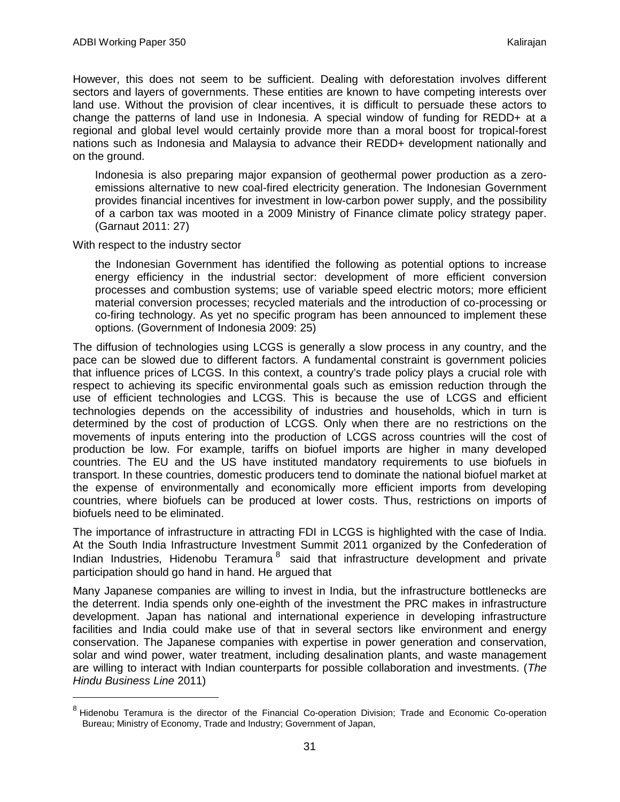However, this does not seem to be sufficient. Dealing with deforestation involves different sectors and layers of governments. These entities are known to have competing interests over land use. Without the provision of clear incentives, it is difficult to persuade these actors to change the patterns of land use in Indonesia. A special window of funding for REDD+ at a regional and global level would certainly provide more than a moral boost for tropical-forest nations such as Indonesia and Malaysia to advance their REDD+ development nationally and on the ground.

Indonesia is also preparing major expansion of geothermal power production as a zeroemissions alternative to new coal-fired electricity generation. The Indonesian Government provides financial incentives for investment in low-carbon power supply, and the possibility of a carbon tax was mooted in a 2009 Ministry of Finance climate policy strategy paper. (Garnaut 2011: 27)

With respect to the industry sector

the Indonesian Government has identified the following as potential options to increase energy efficiency in the industrial sector: development of more efficient conversion processes and combustion systems; use of variable speed electric motors; more efficient material conversion processes; recycled materials and the introduction of co-processing or co-firing technology. As yet no specific program has been announced to implement these options. (Government of Indonesia 2009: 25)

The diffusion of technologies using LCGS is generally a slow process in any country, and the pace can be slowed due to different factors. A fundamental constraint is government policies that influence prices of LCGS. In this context, a country's trade policy plays a crucial role with respect to achieving its specific environmental goals such as emission reduction through the use of efficient technologies and LCGS. This is because the use of LCGS and efficient technologies depends on the accessibility of industries and households, which in turn is determined by the cost of production of LCGS. Only when there are no restrictions on the movements of inputs entering into the production of LCGS across countries will the cost of production be low. For example, tariffs on biofuel imports are higher in many developed countries. The EU and the US have instituted mandatory requirements to use biofuels in transport. In these countries, domestic producers tend to dominate the national biofuel market at the expense of environmentally and economically more efficient imports from developing countries, where biofuels can be produced at lower costs. Thus, restrictions on imports of biofuels need to be eliminated.

The importance of infrastructure in attracting FDI in LCGS is highlighted with the case of India. At the South India Infrastructure Investment Summit 2011 organized by the Confederation of Indian Industries, Hidenobu Teramura<sup>[8](#page-32-0)</sup> said that infrastructure development and private participation should go hand in hand. He argued that

Many Japanese companies are willing to invest in India, but the infrastructure bottlenecks are the deterrent. India spends only one-eighth of the investment the PRC makes in infrastructure development. Japan has national and international experience in developing infrastructure facilities and India could make use of that in several sectors like environment and energy conservation. The Japanese companies with expertise in power generation and conservation, solar and wind power, water treatment, including desalination plants, and waste management are willing to interact with Indian counterparts for possible collaboration and investments. (*The Hindu Business Line* 2011)

<span id="page-32-0"></span><sup>&</sup>lt;sup>8</sup> Hidenobu Teramura is the director of the Financial Co-operation Division; Trade and Economic Co-operation Bureau; Ministry of Economy, Trade and Industry; Government of Japan,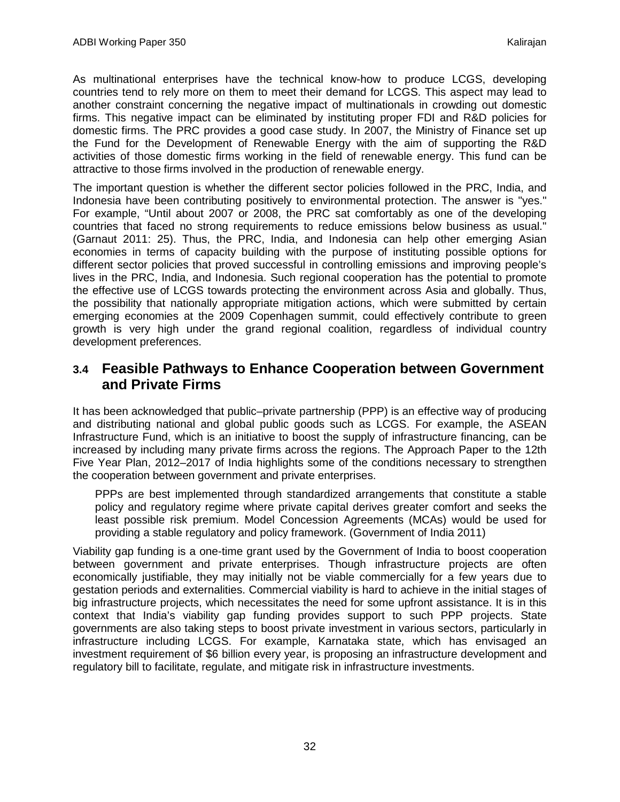As multinational enterprises have the technical know-how to produce LCGS, developing countries tend to rely more on them to meet their demand for LCGS. This aspect may lead to another constraint concerning the negative impact of multinationals in crowding out domestic firms. This negative impact can be eliminated by instituting proper FDI and R&D policies for domestic firms. The PRC provides a good case study. In 2007, the Ministry of Finance set up the Fund for the Development of Renewable Energy with the aim of supporting the R&D activities of those domestic firms working in the field of renewable energy. This fund can be attractive to those firms involved in the production of renewable energy.

The important question is whether the different sector policies followed in the PRC, India, and Indonesia have been contributing positively to environmental protection. The answer is "yes." For example, "Until about 2007 or 2008, the PRC sat comfortably as one of the developing countries that faced no strong requirements to reduce emissions below business as usual." (Garnaut 2011: 25). Thus, the PRC, India, and Indonesia can help other emerging Asian economies in terms of capacity building with the purpose of instituting possible options for different sector policies that proved successful in controlling emissions and improving people's lives in the PRC, India, and Indonesia. Such regional cooperation has the potential to promote the effective use of LCGS towards protecting the environment across Asia and globally. Thus, the possibility that nationally appropriate mitigation actions, which were submitted by certain emerging economies at the 2009 Copenhagen summit, could effectively contribute to green growth is very high under the grand regional coalition, regardless of individual country development preferences.

## <span id="page-33-0"></span>**3.4 Feasible Pathways to Enhance Cooperation between Government and Private Firms**

It has been acknowledged that public–private partnership (PPP) is an effective way of producing and distributing national and global public goods such as LCGS. For example, the ASEAN Infrastructure Fund, which is an initiative to boost the supply of infrastructure financing, can be increased by including many private firms across the regions. The Approach Paper to the 12th Five Year Plan, 2012–2017 of India highlights some of the conditions necessary to strengthen the cooperation between government and private enterprises.

PPPs are best implemented through standardized arrangements that constitute a stable policy and regulatory regime where private capital derives greater comfort and seeks the least possible risk premium. Model Concession Agreements (MCAs) would be used for providing a stable regulatory and policy framework. (Government of India 2011)

Viability gap funding is a one-time grant used by the Government of India to boost cooperation between government and private enterprises. Though infrastructure projects are often economically justifiable, they may initially not be viable commercially for a few years due to gestation periods and externalities. Commercial viability is hard to achieve in the initial stages of big infrastructure projects, which necessitates the need for some upfront assistance. It is in this context that India's viability gap funding provides support to such PPP projects. State governments are also taking steps to boost private investment in various sectors, particularly in infrastructure including LCGS. For example, Karnataka state, which has envisaged an investment requirement of \$6 billion every year, is proposing an infrastructure development and regulatory bill to facilitate, regulate, and mitigate risk in infrastructure investments.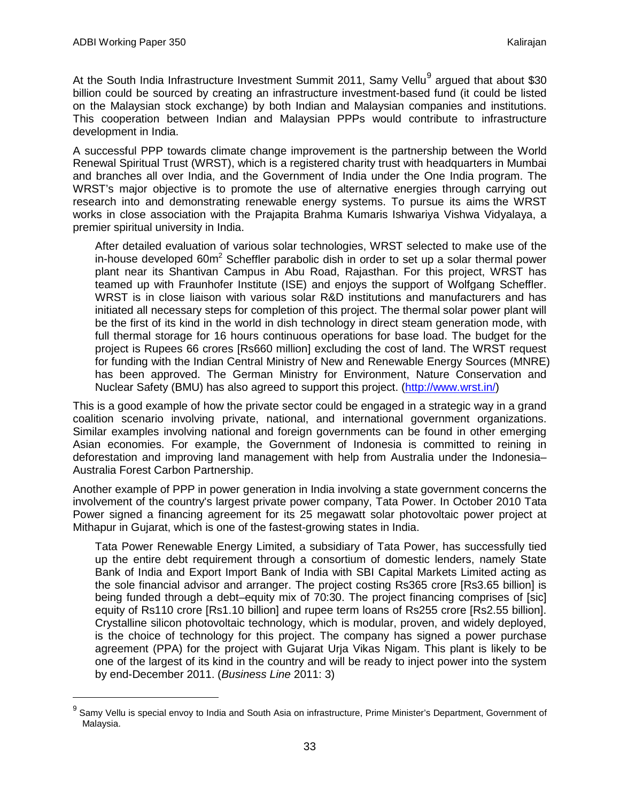At the South India Infrastructure Investment Summit 2011, Samy Vellu<sup>[9](#page-34-0)</sup> argued that about \$30 billion could be sourced by creating an infrastructure investment-based fund (it could be listed on the Malaysian stock exchange) by both Indian and Malaysian companies and institutions. This cooperation between Indian and Malaysian PPPs would contribute to infrastructure development in India.

A successful PPP towards climate change improvement is the partnership between the World Renewal Spiritual Trust (WRST), which is a registered charity trust with headquarters in Mumbai and branches all over India, and the Government of India under the One India program. The WRST's major objective is to promote the use of alternative energies through carrying out research into and demonstrating renewable energy systems. To pursue its aims the WRST works in close association with the Prajapita Brahma Kumaris Ishwariya Vishwa Vidyalaya, a premier spiritual university in India.

After detailed evaluation of various solar technologies, WRST selected to make use of the in-house developed 60 $m^2$  Scheffler parabolic dish in order to set up a solar thermal power plant near its Shantivan Campus in Abu Road, Rajasthan. For this project, WRST has teamed up with Fraunhofer Institute (ISE) and enjoys the support of Wolfgang Scheffler. WRST is in close liaison with various solar R&D institutions and manufacturers and has initiated all necessary steps for completion of this project. The thermal solar power plant will be the first of its kind in the world in dish technology in direct steam generation mode, with full thermal storage for 16 hours continuous operations for base load. The budget for the project is Rupees 66 crores [Rs660 million] excluding the cost of land. The WRST request for funding with the Indian Central Ministry of New and Renewable Energy Sources (MNRE) has been approved. The German Ministry for Environment, Nature Conservation and Nuclear Safety (BMU) has also agreed to support this project. [\(http://www.wrst.in/\)](http://www.wrst.in/)

This is a good example of how the private sector could be engaged in a strategic way in a grand coalition scenario involving private, national, and international government organizations. Similar examples involving national and foreign governments can be found in other emerging Asian economies. For example, the Government of Indonesia is committed to reining in deforestation and improving land management with help from Australia under the Indonesia– Australia Forest Carbon Partnership.

Another example of PPP in power generation in India involving a state government concerns the involvement of the country's largest private power company, Tata Power. In October 2010 Tata Power signed a financing agreement for its 25 megawatt solar photovoltaic power project at Mithapur in Gujarat, which is one of the fastest-growing states in India.

Tata Power Renewable Energy Limited, a subsidiary of Tata Power, has successfully tied up the entire debt requirement through a consortium of domestic lenders, namely State Bank of India and Export Import Bank of India with SBI Capital Markets Limited acting as the sole financial advisor and arranger. The project costing Rs365 crore [Rs3.65 billion] is being funded through a debt–equity mix of 70:30. The project financing comprises of [sic] equity of Rs110 crore [Rs1.10 billion] and rupee term loans of Rs255 crore [Rs2.55 billion]. Crystalline silicon photovoltaic technology, which is modular, proven, and widely deployed, is the choice of technology for this project. The company has signed a power purchase agreement (PPA) for the project with Gujarat Urja Vikas Nigam. This plant is likely to be one of the largest of its kind in the country and will be ready to inject power into the system by end-December 2011. (*Business Line* 2011: 3)

<span id="page-34-0"></span> $9$  Samy Vellu is special envoy to India and South Asia on infrastructure, Prime Minister's Department, Government of Malaysia.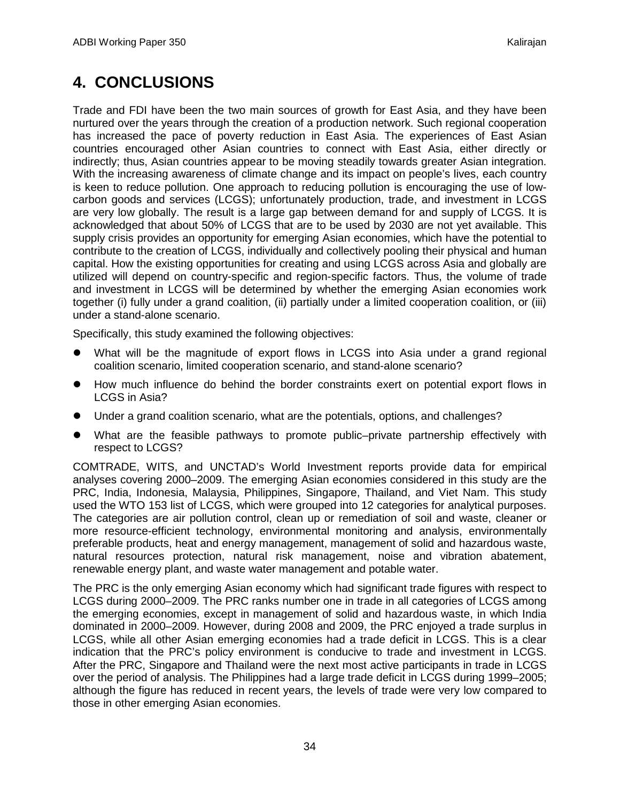# <span id="page-35-0"></span>**4. CONCLUSIONS**

Trade and FDI have been the two main sources of growth for East Asia, and they have been nurtured over the years through the creation of a production network. Such regional cooperation has increased the pace of poverty reduction in East Asia. The experiences of East Asian countries encouraged other Asian countries to connect with East Asia, either directly or indirectly; thus, Asian countries appear to be moving steadily towards greater Asian integration. With the increasing awareness of climate change and its impact on people's lives, each country is keen to reduce pollution. One approach to reducing pollution is encouraging the use of lowcarbon goods and services (LCGS); unfortunately production, trade, and investment in LCGS are very low globally. The result is a large gap between demand for and supply of LCGS. It is acknowledged that about 50% of LCGS that are to be used by 2030 are not yet available. This supply crisis provides an opportunity for emerging Asian economies, which have the potential to contribute to the creation of LCGS, individually and collectively pooling their physical and human capital. How the existing opportunities for creating and using LCGS across Asia and globally are utilized will depend on country-specific and region-specific factors. Thus, the volume of trade and investment in LCGS will be determined by whether the emerging Asian economies work together (i) fully under a grand coalition, (ii) partially under a limited cooperation coalition, or (iii) under a stand-alone scenario.

Specifically, this study examined the following objectives:

- What will be the magnitude of export flows in LCGS into Asia under a grand regional coalition scenario, limited cooperation scenario, and stand-alone scenario?
- How much influence do behind the border constraints exert on potential export flows in LCGS in Asia?
- Under a grand coalition scenario, what are the potentials, options, and challenges?
- What are the feasible pathways to promote public–private partnership effectively with respect to LCGS?

COMTRADE, WITS, and UNCTAD's World Investment reports provide data for empirical analyses covering 2000–2009. The emerging Asian economies considered in this study are the PRC, India, Indonesia, Malaysia, Philippines, Singapore, Thailand, and Viet Nam. This study used the WTO 153 list of LCGS, which were grouped into 12 categories for analytical purposes. The categories are air pollution control, clean up or remediation of soil and waste, cleaner or more resource-efficient technology, environmental monitoring and analysis, environmentally preferable products, heat and energy management, management of solid and hazardous waste, natural resources protection, natural risk management, noise and vibration abatement, renewable energy plant, and waste water management and potable water.

The PRC is the only emerging Asian economy which had significant trade figures with respect to LCGS during 2000–2009. The PRC ranks number one in trade in all categories of LCGS among the emerging economies, except in management of solid and hazardous waste, in which India dominated in 2000–2009. However, during 2008 and 2009, the PRC enjoyed a trade surplus in LCGS, while all other Asian emerging economies had a trade deficit in LCGS. This is a clear indication that the PRC's policy environment is conducive to trade and investment in LCGS. After the PRC, Singapore and Thailand were the next most active participants in trade in LCGS over the period of analysis. The Philippines had a large trade deficit in LCGS during 1999–2005; although the figure has reduced in recent years, the levels of trade were very low compared to those in other emerging Asian economies.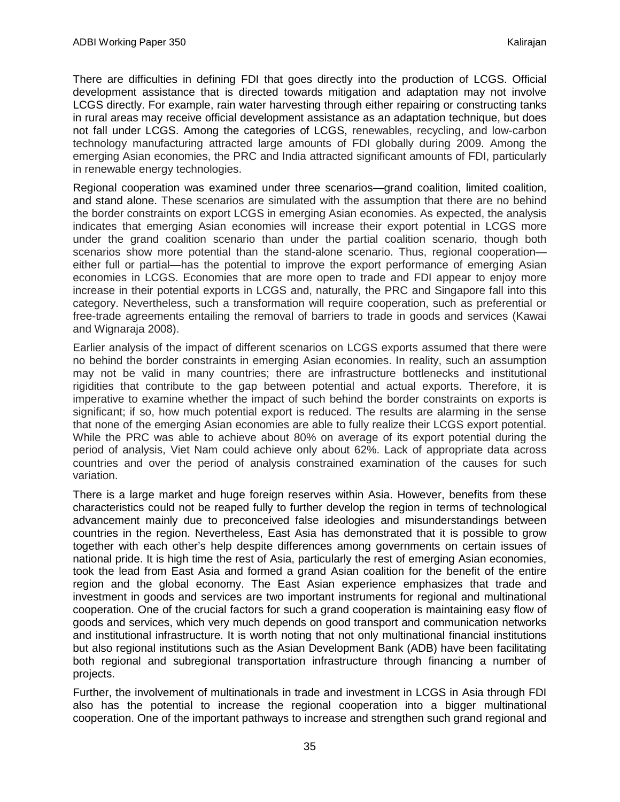There are difficulties in defining FDI that goes directly into the production of LCGS. Official development assistance that is directed towards mitigation and adaptation may not involve LCGS directly. For example, rain water harvesting through either repairing or constructing tanks in rural areas may receive official development assistance as an adaptation technique, but does not fall under LCGS. Among the categories of LCGS, renewables, recycling, and low-carbon technology manufacturing attracted large amounts of FDI globally during 2009. Among the emerging Asian economies, the PRC and India attracted significant amounts of FDI, particularly in renewable energy technologies.

Regional cooperation was examined under three scenarios—grand coalition, limited coalition, and stand alone. These scenarios are simulated with the assumption that there are no behind the border constraints on export LCGS in emerging Asian economies. As expected, the analysis indicates that emerging Asian economies will increase their export potential in LCGS more under the grand coalition scenario than under the partial coalition scenario, though both scenarios show more potential than the stand-alone scenario. Thus, regional cooperation either full or partial—has the potential to improve the export performance of emerging Asian economies in LCGS. Economies that are more open to trade and FDI appear to enjoy more increase in their potential exports in LCGS and, naturally, the PRC and Singapore fall into this category. Nevertheless, such a transformation will require cooperation, such as preferential or free-trade agreements entailing the removal of barriers to trade in goods and services (Kawai and Wignaraja 2008).

Earlier analysis of the impact of different scenarios on LCGS exports assumed that there were no behind the border constraints in emerging Asian economies. In reality, such an assumption may not be valid in many countries; there are infrastructure bottlenecks and institutional rigidities that contribute to the gap between potential and actual exports. Therefore, it is imperative to examine whether the impact of such behind the border constraints on exports is significant; if so, how much potential export is reduced. The results are alarming in the sense that none of the emerging Asian economies are able to fully realize their LCGS export potential. While the PRC was able to achieve about 80% on average of its export potential during the period of analysis, Viet Nam could achieve only about 62%. Lack of appropriate data across countries and over the period of analysis constrained examination of the causes for such variation.

There is a large market and huge foreign reserves within Asia. However, benefits from these characteristics could not be reaped fully to further develop the region in terms of technological advancement mainly due to preconceived false ideologies and misunderstandings between countries in the region. Nevertheless, East Asia has demonstrated that it is possible to grow together with each other's help despite differences among governments on certain issues of national pride. It is high time the rest of Asia, particularly the rest of emerging Asian economies, took the lead from East Asia and formed a grand Asian coalition for the benefit of the entire region and the global economy. The East Asian experience emphasizes that trade and investment in goods and services are two important instruments for regional and multinational cooperation. One of the crucial factors for such a grand cooperation is maintaining easy flow of goods and services, which very much depends on good transport and communication networks and institutional infrastructure. It is worth noting that not only multinational financial institutions but also regional institutions such as the Asian Development Bank (ADB) have been facilitating both regional and subregional transportation infrastructure through financing a number of projects.

Further, the involvement of multinationals in trade and investment in LCGS in Asia through FDI also has the potential to increase the regional cooperation into a bigger multinational cooperation. One of the important pathways to increase and strengthen such grand regional and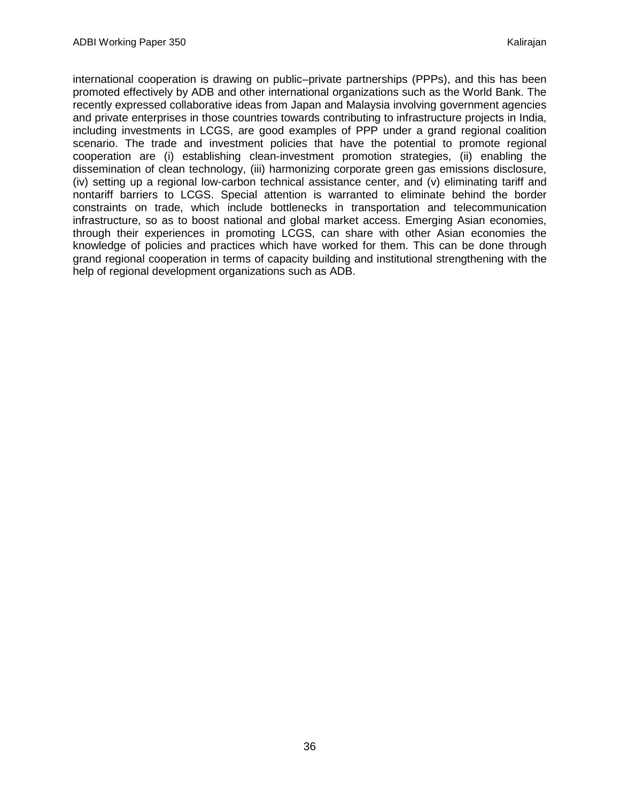international cooperation is drawing on public–private partnerships (PPPs), and this has been promoted effectively by ADB and other international organizations such as the World Bank. The recently expressed collaborative ideas from Japan and Malaysia involving government agencies and private enterprises in those countries towards contributing to infrastructure projects in India, including investments in LCGS, are good examples of PPP under a grand regional coalition scenario. The trade and investment policies that have the potential to promote regional cooperation are (i) establishing clean-investment promotion strategies, (ii) enabling the dissemination of clean technology, (iii) harmonizing corporate green gas emissions disclosure, (iv) setting up a regional low-carbon technical assistance center, and (v) eliminating tariff and nontariff barriers to LCGS. Special attention is warranted to eliminate behind the border constraints on trade, which include bottlenecks in transportation and telecommunication infrastructure, so as to boost national and global market access. Emerging Asian economies, through their experiences in promoting LCGS, can share with other Asian economies the knowledge of policies and practices which have worked for them. This can be done through grand regional cooperation in terms of capacity building and institutional strengthening with the help of regional development organizations such as ADB.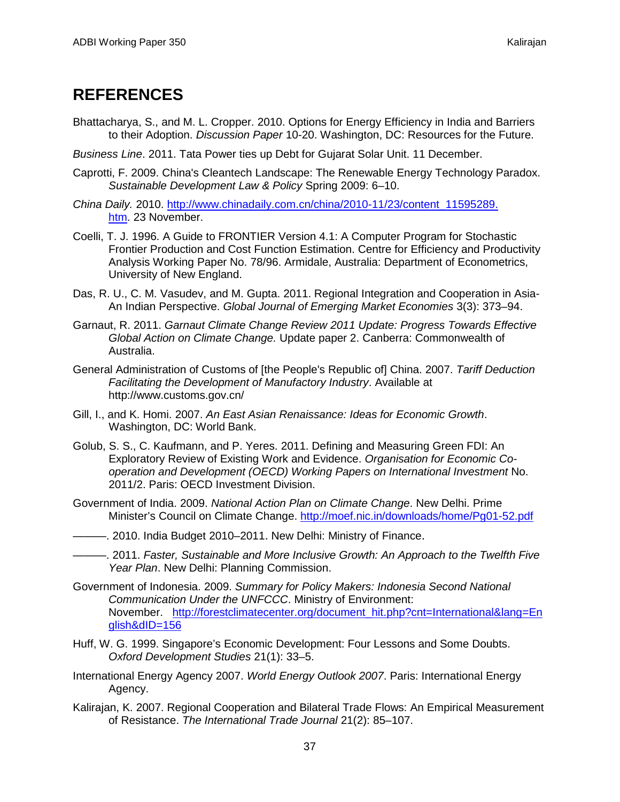## <span id="page-38-0"></span>**REFERENCES**

- Bhattacharya, S., and M. L. Cropper. 2010. Options for Energy Efficiency in India and Barriers to their Adoption. *Discussion Paper* 10-20. Washington, DC: Resources for the Future.
- *Business Line*. 2011. Tata Power ties up Debt for Gujarat Solar Unit. 11 December.
- [Caprotti, F. 2009. China's Cleantech Landscape: The Renewable Energy Technology Paradox.](http://eprints.ucl.ac.uk/16051/1/16051.pdf)  *[Sustainable Development Law & Policy](http://eprints.ucl.ac.uk/16051/1/16051.pdf)* Spring 2009: 6–10.
- *China Daily.* 2010. [http://www.chinadaily.com.cn/china/2010-11/23/content\\_11595289.](http://www.chinadaily.com.cn/china/2010-11/23/content_11595289.htm) [htm.](http://www.chinadaily.com.cn/china/2010-11/23/content_11595289.htm) 23 November.
- Coelli, T. J. 1996. A Guide to FRONTIER Version 4.1: A Computer Program for Stochastic Frontier Production and Cost Function Estimation. Centre for Efficiency and Productivity Analysis Working Paper No. 78/96. Armidale, Australia: Department of Econometrics, University of New England.
- Das, R. U., C. M. Vasudev, and M. Gupta. 2011. Regional Integration and Cooperation in Asia-An Indian Perspective. *Global Journal of Emerging Market Economies* 3(3): 373–94.
- Garnaut, R. 2011. *Garnaut Climate Change Review 2011 Update: Progress Towards Effective Global Action on Climate Change.* Update paper 2. Canberra: Commonwealth of Australia.
- General Administration of Customs of [the People's Republic of] China. 2007. *Tariff Deduction Facilitating the Development of Manufactory Industry*. Available at http://www.customs.gov.cn/
- Gill, I., and K. Homi. 2007. *An East Asian Renaissance: Ideas for Economic Growth*. Washington, DC: World Bank.
- Golub, S. S., C. Kaufmann, and P. Yeres. 2011. Defining and Measuring Green FDI: An Exploratory Review of Existing Work and Evidence. *Organisation for Economic Cooperation and Development (OECD) Working Papers on International Investment* No. 2011/2. Paris: OECD Investment Division.
- Government of India. 2009. *National Action Plan on Climate Change*. New Delhi. Prime Minister's Council on Climate Change. [http://moef.nic.in/downloads/home/Pg01-52.pdf](http://moef.nic.in/downloads/home/Pg01-52.pd)
- ———. 2010. India Budget 2010–2011. New Delhi: Ministry of Finance.
- ———. 2011. *Faster, Sustainable and More Inclusive Growth: An Approach to the Twelfth Five Year Plan*. New Delhi: Planning Commission.
- Government of Indonesia. 2009. *Summary for Policy Makers: Indonesia Second National Communication Under the UNFCCC*. Ministry of Environment: November. [http://forestclimatecenter.org/document\\_hit.php?cnt=International&lang=En](http://forestclimatecenter.org/document_hit.php?cnt=International&lang=English&dID=156) [glish&dID=156](http://forestclimatecenter.org/document_hit.php?cnt=International&lang=English&dID=156)
- Huff, W. G. 1999. Singapore's Economic Development: Four Lessons and Some Doubts. *Oxford Development Studies* 21(1): 33–5.
- International Energy Agency 2007. *World Energy Outlook 2007*. Paris: International Energy Agency.
- Kalirajan, K. 2007. Regional Cooperation and Bilateral Trade Flows: An Empirical Measurement of Resistance. *The International Trade Journal* 21(2): 85–107.